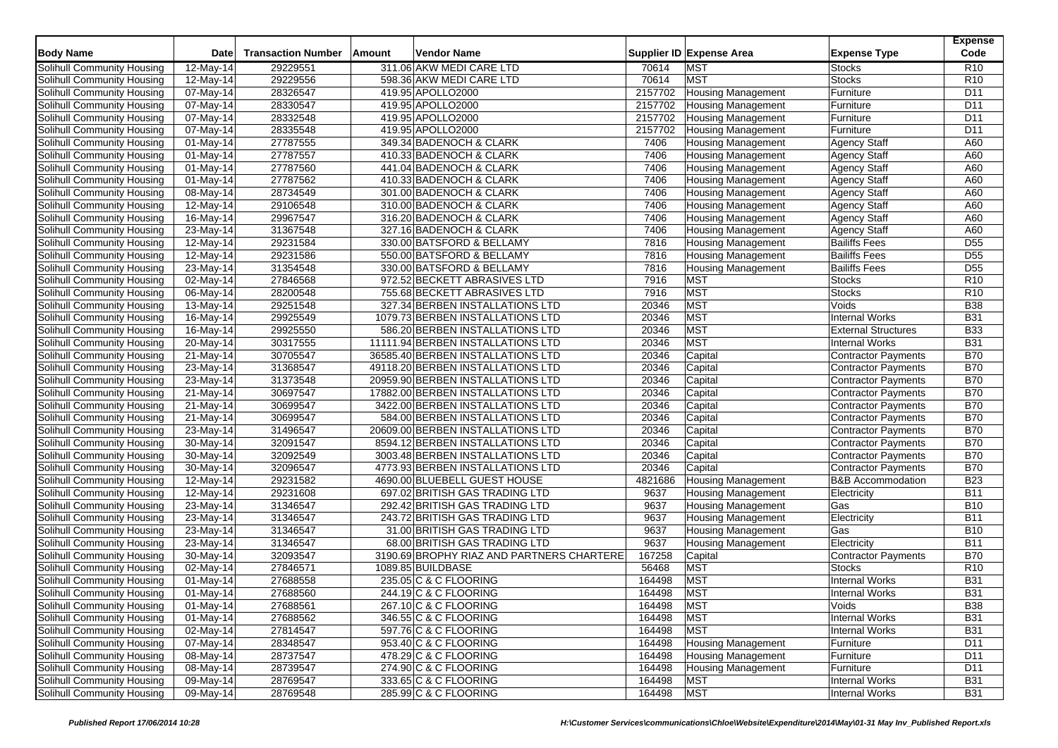| <b>Body Name</b>                                         | Date                                 | <b>Transaction Number</b> | Amount<br>Vendor Name                                                  |                    | Supplier ID Expense Area                               | <b>Expense Type</b>                                      | <b>Expense</b><br>Code |
|----------------------------------------------------------|--------------------------------------|---------------------------|------------------------------------------------------------------------|--------------------|--------------------------------------------------------|----------------------------------------------------------|------------------------|
| Solihull Community Housing                               | $12-May-14$                          | 29229551                  | 311.06 AKW MEDI CARE LTD                                               | 70614              | <b>MST</b>                                             | <b>Stocks</b>                                            | R10                    |
| Solihull Community Housing                               | 12-May-14                            | 29229556                  | 598.36 AKW MEDI CARE LTD                                               | 70614              | <b>MST</b>                                             | <b>Stocks</b>                                            | R <sub>10</sub>        |
| Solihull Community Housing                               | 07-May-14                            | 28326547                  | 419.95 APOLLO2000                                                      | 2157702            | <b>Housing Management</b>                              | Furniture                                                | D11                    |
| Solihull Community Housing                               |                                      | 28330547                  | 419.95 APOLLO2000                                                      | 2157702            |                                                        |                                                          | D <sub>11</sub>        |
|                                                          | 07-May-14                            | 28332548                  |                                                                        |                    | <b>Housing Management</b><br><b>Housing Management</b> | Furniture                                                | D11                    |
| Solihull Community Housing<br>Solihull Community Housing | 07-May-14<br>07-May-14               | 28335548                  | 419.95 APOLLO2000<br>419.95 APOLLO2000                                 | 2157702<br>2157702 |                                                        | Furniture<br>Furniture                                   | D <sub>11</sub>        |
| Solihull Community Housing                               | 01-May-14                            | 27787555                  | 349.34 BADENOCH & CLARK                                                | 7406               | <b>Housing Management</b><br>Housing Management        | <b>Agency Staff</b>                                      | A60                    |
| Solihull Community Housing                               | 01-May-14                            | 27787557                  | 410.33 BADENOCH & CLARK                                                | 7406               | <b>Housing Management</b>                              | <b>Agency Staff</b>                                      | A60                    |
| Solihull Community Housing                               | 01-May-14                            | 27787560                  | 441.04 BADENOCH & CLARK                                                | 7406               | <b>Housing Management</b>                              | <b>Agency Staff</b>                                      | A60                    |
| Solihull Community Housing                               | $\overline{0}$ 1-May-14              | 27787562                  | 410.33 BADENOCH & CLARK                                                | 7406               |                                                        | <b>Agency Staff</b>                                      | A60                    |
| Solihull Community Housing                               | 08-May-14                            | 28734549                  | 301.00 BADENOCH & CLARK                                                | 7406               | <b>Housing Management</b><br><b>Housing Management</b> | <b>Agency Staff</b>                                      | A60                    |
| Solihull Community Housing                               | 12-May-14                            | 29106548                  | 310.00 BADENOCH & CLARK                                                | 7406               | <b>Housing Management</b>                              | <b>Agency Staff</b>                                      | A60                    |
| Solihull Community Housing                               | $\overline{16}$ -May-14              | 29967547                  | 316.20 BADENOCH & CLARK                                                | 7406               | <b>Housing Management</b>                              | <b>Agency Staff</b>                                      | A60                    |
| Solihull Community Housing                               | 23-May-14                            | 31367548                  | 327.16 BADENOCH & CLARK                                                | 7406               |                                                        | <b>Agency Staff</b>                                      | A60                    |
| Solihull Community Housing                               | $12$ -May-14                         | 29231584                  | 330.00 BATSFORD & BELLAMY                                              | 7816               | <b>Housing Management</b><br><b>Housing Management</b> | <b>Bailiffs Fees</b>                                     | D <sub>55</sub>        |
| Solihull Community Housing                               |                                      | 29231586                  | 550.00 BATSFORD & BELLAMY                                              | 7816               | Housing Management                                     | <b>Bailiffs Fees</b>                                     | D <sub>55</sub>        |
| Solihull Community Housing                               | 12-May-14<br>23-May-14               | 31354548                  | 330.00 BATSFORD & BELLAMY                                              | 7816               |                                                        | <b>Bailiffs Fees</b>                                     | D <sub>55</sub>        |
| Solihull Community Housing                               | 02-May-14                            | 27846568                  | 972.52 BECKETT ABRASIVES LTD                                           | 7916               | <b>Housing Management</b><br><b>MST</b>                | Stocks                                                   | R <sub>10</sub>        |
| Solihull Community Housing                               | 06-May-14                            | 28200548                  | 755.68 BECKETT ABRASIVES LTD                                           | 7916               | <b>MST</b>                                             | <b>Stocks</b>                                            | R <sub>10</sub>        |
|                                                          |                                      | 29251548                  | 327.34 BERBEN INSTALLATIONS LTD                                        | 20346              | <b>MST</b>                                             | Voids                                                    | <b>B38</b>             |
| Solihull Community Housing                               | 13-May-14<br>$16$ -May-14            |                           | 1079.73 BERBEN INSTALLATIONS LTD                                       | 20346              | <b>MST</b>                                             | Internal Works                                           | <b>B31</b>             |
| Solihull Community Housing<br>Solihull Community Housing | $16$ -May-14                         | 29925549<br>29925550      | 586.20 BERBEN INSTALLATIONS LTD                                        | 20346              | <b>MST</b>                                             | <b>External Structures</b>                               | <b>B33</b>             |
|                                                          |                                      | 30317555                  |                                                                        |                    | <b>MST</b>                                             | <b>Internal Works</b>                                    | <b>B31</b>             |
| Solihull Community Housing                               | 20-May-14                            | 30705547                  | 11111.94 BERBEN INSTALLATIONS LTD<br>36585.40 BERBEN INSTALLATIONS LTD | 20346<br>20346     |                                                        |                                                          | <b>B70</b>             |
| Solihull Community Housing<br>Solihull Community Housing | 21-May-14                            |                           |                                                                        |                    | Capital                                                | Contractor Payments                                      | <b>B70</b>             |
|                                                          | 23-May-14                            | 31368547<br>31373548      | 49118.20 BERBEN INSTALLATIONS LTD                                      | 20346              | Capital                                                | <b>Contractor Payments</b>                               | <b>B70</b>             |
| Solihull Community Housing                               | 23-May-14<br>$\overline{2}$ 1-May-14 | 30697547                  | 20959.90 BERBEN INSTALLATIONS LTD<br>17882.00 BERBEN INSTALLATIONS LTD | 20346<br>20346     | Capital<br>Capital                                     | Contractor Payments<br><b>Contractor Payments</b>        | <b>B70</b>             |
| Solihull Community Housing<br>Solihull Community Housing |                                      | 30699547                  | 3422.00 BERBEN INSTALLATIONS LTD                                       | 20346              | Capital                                                | <b>Contractor Payments</b>                               | <b>B70</b>             |
| Solihull Community Housing                               | 21-May-14<br>21-May-14               | 30699547                  | 584.00 BERBEN INSTALLATIONS LTD                                        | 20346              | Capital                                                | <b>Contractor Payments</b>                               | <b>B70</b>             |
| Solihull Community Housing                               | 23-May-14                            | 31496547                  | 20609.00 BERBEN INSTALLATIONS LTD                                      | 20346              | Capital                                                | <b>Contractor Payments</b>                               | <b>B70</b>             |
|                                                          |                                      |                           |                                                                        |                    |                                                        |                                                          | <b>B70</b>             |
| Solihull Community Housing<br>Solihull Community Housing | 30-May-14                            | 32091547<br>32092549      | 8594.12 BERBEN INSTALLATIONS LTD<br>3003.48 BERBEN INSTALLATIONS LTD   | 20346<br>20346     | Capital                                                | <b>Contractor Payments</b><br><b>Contractor Payments</b> | <b>B70</b>             |
| Solihull Community Housing                               | 30-May-14<br>30-May-14               | 32096547                  | 4773.93 BERBEN INSTALLATIONS LTD                                       | 20346              | Capital<br>Capital                                     | <b>Contractor Payments</b>                               | <b>B70</b>             |
|                                                          |                                      | 29231582                  | 4690.00 BLUEBELL GUEST HOUSE                                           | 4821686            |                                                        | <b>B&amp;B Accommodation</b>                             | <b>B23</b>             |
| Solihull Community Housing<br>Solihull Community Housing | 12-May-14                            | 29231608                  | 697.02 BRITISH GAS TRADING LTD                                         | 9637               | <b>Housing Management</b>                              | Electricity                                              | <b>B11</b>             |
|                                                          | 12-May-14                            | 31346547                  | 292.42 BRITISH GAS TRADING LTD                                         | 9637               | <b>Housing Management</b>                              | Gas                                                      | <b>B10</b>             |
| Solihull Community Housing                               | 23-May-14                            | 31346547                  | 243.72 BRITISH GAS TRADING LTD                                         | 9637               | <b>Housing Management</b>                              | Electricity                                              | <b>B11</b>             |
| Solihull Community Housing<br>Solihull Community Housing | 23-May-14                            | 31346547                  | 31.00 BRITISH GAS TRADING LTD                                          | 9637               | <b>Housing Management</b>                              | Gas                                                      | <b>B10</b>             |
| Solihull Community Housing                               | 23-May-14                            | 31346547                  | 68.00 BRITISH GAS TRADING LTD                                          | 9637               | <b>Housing Management</b><br><b>Housing Management</b> | Electricity                                              | <b>B11</b>             |
| Solihull Community Housing                               | 23-May-14                            | 32093547                  | 3190.69 BROPHY RIAZ AND PARTNERS CHARTERE                              | 167258             |                                                        |                                                          | <b>B70</b>             |
| Solihull Community Housing                               | 30-May-14                            | 27846571                  | 1089.85 BUILDBASE                                                      | 56468              | Capital<br><b>MST</b>                                  | Contractor Payments<br><b>Stocks</b>                     | R <sub>10</sub>        |
|                                                          | 02-May-14                            |                           |                                                                        |                    | <b>MST</b>                                             |                                                          | <b>B31</b>             |
| Solihull Community Housing                               | 01-May-14                            | 27688558<br>27688560      | 235.05 C & C FLOORING<br>244.19 C & C FLOORING                         | 164498<br>164498   | <b>MST</b>                                             | <b>Internal Works</b>                                    | <b>B31</b>             |
| Solihull Community Housing                               | $01$ -May-14                         |                           | 267.10 C & C FLOORING                                                  |                    |                                                        | <b>Internal Works</b>                                    |                        |
| Solihull Community Housing                               | 01-May-14                            | 27688561                  |                                                                        | 164498             | <b>MST</b>                                             | Voids                                                    | <b>B38</b>             |
| Solihull Community Housing<br>Solihull Community Housing | 01-May-14                            | 27688562                  | 346.55 C & C FLOORING                                                  | 164498             | <b>MST</b>                                             | <b>Internal Works</b>                                    | <b>B31</b>             |
|                                                          | 02-May-14                            | 27814547                  | 597.76 C & C FLOORING<br>953.40 C & C FLOORING                         | 164498             | <b>MST</b>                                             | <b>Internal Works</b>                                    | <b>B31</b>             |
| Solihull Community Housing<br>Solihull Community Housing | $\overline{07}$ -May-14<br>08-May-14 | 28348547<br>28737547      | 478.29 C & C FLOORING                                                  | 164498<br>164498   | <b>Housing Management</b>                              | Furniture                                                | D <sub>11</sub><br>D11 |
| Solihull Community Housing                               | 08-May-14                            | 28739547                  | 274.90 C & C FLOORING                                                  | 164498             | <b>Housing Management</b><br><b>Housing Management</b> | Furniture                                                | D <sub>11</sub>        |
| Solihull Community Housing                               | 09-May-14                            | 28769547                  | 333.65 C & C FLOORING                                                  | 164498             | <b>MST</b>                                             | Furniture<br><b>Internal Works</b>                       | <b>B31</b>             |
|                                                          |                                      |                           |                                                                        |                    |                                                        |                                                          |                        |
| Solihull Community Housing                               | 09-May-14                            | 28769548                  | 285.99 C & C FLOORING                                                  | 164498             | <b>MST</b>                                             | <b>Internal Works</b>                                    | <b>B31</b>             |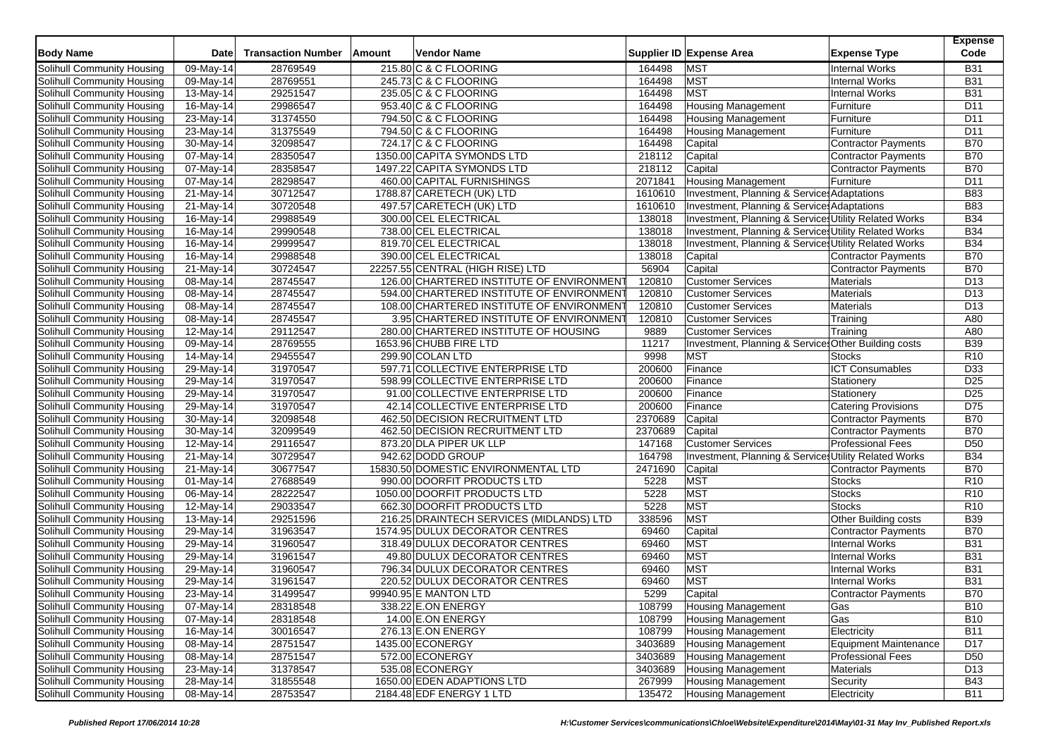| <b>Body Name</b>           | <b>Date</b>             | <b>Transaction Number</b> | Amount | Vendor Name                               |         | Supplier ID Expense Area                                        | <b>Expense Type</b>         | <b>Expense</b><br>Code             |
|----------------------------|-------------------------|---------------------------|--------|-------------------------------------------|---------|-----------------------------------------------------------------|-----------------------------|------------------------------------|
| Solihull Community Housing | $\overline{09}$ -May-14 | 28769549                  |        | 215.80 C & C FLOORING                     | 164498  | <b>MST</b>                                                      | <b>Internal Works</b>       | <b>B31</b>                         |
| Solihull Community Housing | 09-May-14               | 28769551                  |        | 245.73 C & C FLOORING                     | 164498  | <b>MST</b>                                                      | <b>Internal Works</b>       | <b>B31</b>                         |
| Solihull Community Housing | 13-May-14               | 29251547                  |        | 235.05 C & C FLOORING                     | 164498  | <b>MST</b>                                                      | <b>Internal Works</b>       | <b>B31</b>                         |
| Solihull Community Housing | $\overline{16}$ -May-14 | 29986547                  |        | 953.40 C & C FLOORING                     | 164498  | <b>Housing Management</b>                                       | Furniture                   | D11                                |
| Solihull Community Housing | 23-May-14               | 31374550                  |        | 794.50 C & C FLOORING                     | 164498  | <b>Housing Management</b>                                       | Furniture                   | D11                                |
| Solihull Community Housing | 23-May-14               | 31375549                  |        | 794.50 C & C FLOORING                     | 164498  | <b>Housing Management</b>                                       | Furniture                   | D <sub>11</sub>                    |
| Solihull Community Housing | 30-May-14               | 32098547                  |        | 724.17 C & C FLOORING                     | 164498  | Capital                                                         | Contractor Payments         | <b>B70</b>                         |
| Solihull Community Housing | 07-May-14               | 28350547                  |        | 1350.00 CAPITA SYMONDS LTD                | 218112  | Capital                                                         | Contractor Payments         | <b>B70</b>                         |
| Solihull Community Housing | 07-May-14               | 28358547                  |        | 1497.22 CAPITA SYMONDS LTD                | 218112  | Capital                                                         | <b>Contractor Payments</b>  | <b>B70</b>                         |
| Solihull Community Housing | $\overline{0}$ 7-May-14 | 28298547                  |        | 460.00 CAPITAL FURNISHINGS                | 2071841 | <b>Housing Management</b>                                       | Furniture                   | D11                                |
| Solihull Community Housing | 21-May-14               | 30712547                  |        | 1788.87 CARETECH (UK) LTD                 | 1610610 | Investment, Planning & Service: Adaptations                     |                             | <b>B83</b>                         |
| Solihull Community Housing | 21-May-14               | 30720548                  |        | 497.57 CARETECH (UK) LTD                  | 1610610 | Investment, Planning & Service: Adaptations                     |                             | <b>B83</b>                         |
| Solihull Community Housing | $\overline{16}$ -May-14 | 29988549                  |        | 300.00 CEL ELECTRICAL                     | 138018  | Investment, Planning & Services Utility Related Works           |                             | <b>B34</b>                         |
| Solihull Community Housing | 16-May-14               | 29990548                  |        | 738.00 CEL ELECTRICAL                     | 138018  | Investment, Planning & Services Utility Related Works           |                             | <b>B34</b>                         |
| Solihull Community Housing | 16-May-14               | 29999547                  |        | 819.70 CEL ELECTRICAL                     | 138018  | Investment, Planning & Services Utility Related Works           |                             | <b>B34</b>                         |
| Solihull Community Housing | 16-May-14               | 29988548                  |        | 390.00 CEL ELECTRICAL                     | 138018  | Capital                                                         | Contractor Payments         | <b>B70</b>                         |
| Solihull Community Housing | 21-May-14               | 30724547                  |        | 22257.55 CENTRAL (HIGH RISE) LTD          | 56904   | Capital                                                         | <b>Contractor Payments</b>  | <b>B70</b>                         |
| Solihull Community Housing | $\overline{0}$ 8-May-14 | 28745547                  |        | 126.00 CHARTERED INSTITUTE OF ENVIRONMENT | 120810  | <b>Customer Services</b>                                        | <b>Materials</b>            | D <sub>13</sub>                    |
| Solihull Community Housing | 08-May-14               | 28745547                  |        | 594.00 CHARTERED INSTITUTE OF ENVIRONMENT | 120810  | <b>Customer Services</b>                                        | Materials                   | D <sub>13</sub>                    |
| Solihull Community Housing | 08-May-14               | 28745547                  |        | 108.00 CHARTERED INSTITUTE OF ENVIRONMENT | 120810  | <b>Customer Services</b>                                        | Materials                   | D <sub>13</sub>                    |
| Solihull Community Housing | $\overline{0}$ 8-May-14 | 28745547                  |        | 3.95 CHARTERED INSTITUTE OF ENVIRONMENT   | 120810  | <b>Customer Services</b>                                        | Training                    | A80                                |
| Solihull Community Housing | 12-May-14               | 29112547                  |        | 280.00 CHARTERED INSTITUTE OF HOUSING     | 9889    | <b>Customer Services</b>                                        | Training                    | A80                                |
| Solihull Community Housing |                         | 28769555                  |        | 1653.96 CHUBB FIRE LTD                    | 11217   | Investment, Planning & Service: Other Building costs            |                             | <b>B39</b>                         |
| Solihull Community Housing | 09-May-14               |                           |        | 299.90 COLAN LTD                          | 9998    | <b>MST</b>                                                      | <b>Stocks</b>               |                                    |
|                            | 14-May-14               | 29455547                  |        |                                           |         |                                                                 |                             | R <sub>10</sub>                    |
| Solihull Community Housing | 29-May-14               | 31970547<br>31970547      |        | 597.71 COLLECTIVE ENTERPRISE LTD          | 200600  | Finance                                                         | <b>ICT Consumables</b>      | D33                                |
| Solihull Community Housing | 29-May-14               |                           |        | 598.99 COLLECTIVE ENTERPRISE LTD          | 200600  | Finance                                                         | Stationery                  | D <sub>25</sub><br>D <sub>25</sub> |
| Solihull Community Housing | 29-May-14               | 31970547                  |        | 91.00 COLLECTIVE ENTERPRISE LTD           | 200600  | Finance                                                         | Stationery                  |                                    |
| Solihull Community Housing | 29-May-14               | 31970547                  |        | 42.14 COLLECTIVE ENTERPRISE LTD           | 200600  | Finance                                                         | <b>Catering Provisions</b>  | D75<br><b>B70</b>                  |
| Solihull Community Housing | 30-May-14               | 32098548                  |        | 462.50 DECISION RECRUITMENT LTD           | 2370689 | Capital                                                         | Contractor Payments         |                                    |
| Solihull Community Housing | 30-May-14               | 32099549                  |        | 462.50 DECISION RECRUITMENT LTD           | 2370689 | Capital                                                         | <b>Contractor Payments</b>  | <b>B70</b>                         |
| Solihull Community Housing | 12-May-14               | 29116547                  |        | 873.20 DLA PIPER UK LLP                   | 147168  | <b>Customer Services</b>                                        | <b>Professional Fees</b>    | D <sub>50</sub>                    |
| Solihull Community Housing | 21-May-14               | 30729547                  |        | 942.62 DODD GROUP                         | 164798  | <b>Investment, Planning &amp; Service Utility Related Works</b> |                             | <b>B34</b>                         |
| Solihull Community Housing | 21-May-14               | 30677547                  |        | 15830.50 DOMESTIC ENVIRONMENTAL LTD       | 2471690 | Capital                                                         | <b>Contractor Payments</b>  | <b>B70</b>                         |
| Solihull Community Housing | 01-May-14               | 27688549                  |        | 990.00 DOORFIT PRODUCTS LTD               | 5228    | <b>MST</b>                                                      | <b>Stocks</b>               | R <sub>10</sub>                    |
| Solihull Community Housing | 06-May-14               | 28222547                  |        | 1050.00 DOORFIT PRODUCTS LTD              | 5228    | <b>MST</b>                                                      | <b>Stocks</b>               | R <sub>10</sub>                    |
| Solihull Community Housing | 12-May-14               | 29033547                  |        | 662.30 DOORFIT PRODUCTS LTD               | 5228    | <b>MST</b>                                                      | <b>Stocks</b>               | R <sub>10</sub>                    |
| Solihull Community Housing | 13-May-14               | 29251596                  |        | 216.25 DRAINTECH SERVICES (MIDLANDS) LTD  | 338596  | <b>MST</b>                                                      | <b>Other Building costs</b> | <b>B39</b>                         |
| Solihull Community Housing | 29-May-14               | 31963547                  |        | 1574.95 DULUX DECORATOR CENTRES           | 69460   | Capital                                                         | Contractor Payments         | <b>B70</b>                         |
| Solihull Community Housing | 29-May-14               | 31960547                  |        | 318.49 DULUX DECORATOR CENTRES            | 69460   | <b>MST</b>                                                      | <b>Internal Works</b>       | <b>B31</b>                         |
| Solihull Community Housing | 29-May-14               | 31961547                  |        | 49.80 DULUX DECORATOR CENTRES             | 69460   | <b>MST</b>                                                      | <b>Internal Works</b>       | <b>B31</b>                         |
| Solihull Community Housing | 29-May-14               | 31960547                  |        | 796.34 DULUX DECORATOR CENTRES            | 69460   | <b>MST</b>                                                      | <b>Internal Works</b>       | <b>B31</b>                         |
| Solihull Community Housing | 29-May-14               | 31961547                  |        | 220.52 DULUX DECORATOR CENTRES            | 69460   | <b>MST</b>                                                      | Internal Works              | <b>B31</b>                         |
| Solihull Community Housing | 23-May-14               | 31499547                  |        | 99940.95 E MANTON LTD                     | 5299    | Capital                                                         | <b>Contractor Payments</b>  | <b>B70</b>                         |
| Solihull Community Housing | 07-May-14               | 28318548                  |        | 338.22 E.ON ENERGY                        | 108799  | <b>Housing Management</b>                                       | Gas                         | <b>B10</b>                         |
| Solihull Community Housing | 07-May-14               | 28318548                  |        | 14.00 E.ON ENERGY                         | 108799  | <b>Housing Management</b>                                       | Gas                         | <b>B10</b>                         |
| Solihull Community Housing | 16-May-14               | 30016547                  |        | 276.13 E.ON ENERGY                        | 108799  | <b>Housing Management</b>                                       | Electricity                 | <b>B11</b>                         |
| Solihull Community Housing | 08-May-14               | 28751547                  |        | 1435.00 ECONERGY                          | 3403689 | Housing Management                                              | Equipment Maintenance       | D17                                |
| Solihull Community Housing | 08-May-14               | 28751547                  |        | 572.00 ECONERGY                           | 3403689 | <b>Housing Management</b>                                       | <b>Professional Fees</b>    | D <sub>50</sub>                    |
| Solihull Community Housing | 23-May-14               | 31378547                  |        | 535.08 ECONERGY                           | 3403689 | <b>Housing Management</b>                                       | Materials                   | D <sub>13</sub>                    |
| Solihull Community Housing | 28-May-14               | 31855548                  |        | 1650.00 EDEN ADAPTIONS LTD                | 267999  | <b>Housing Management</b>                                       | Security                    | <b>B43</b>                         |
| Solihull Community Housing | 08-May-14               | 28753547                  |        | 2184.48 EDF ENERGY 1 LTD                  | 135472  | <b>Housing Management</b>                                       | Electricity                 | <b>B11</b>                         |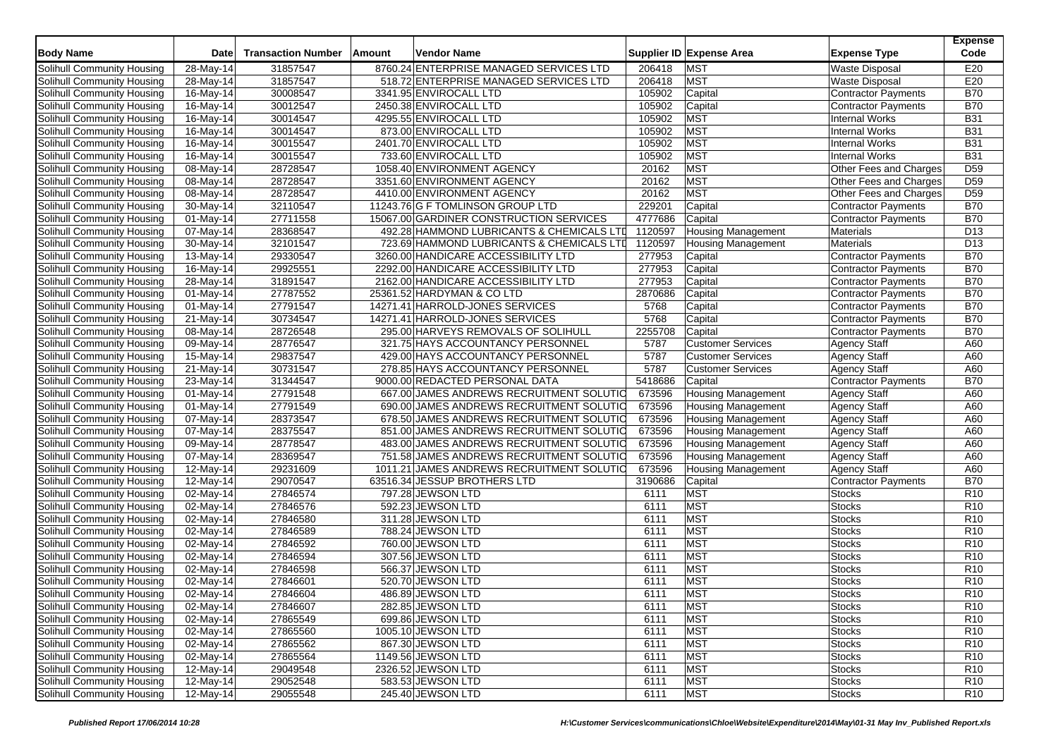| <b>Body Name</b>           | <b>Date</b>             | <b>Transaction Number</b> | Amount | Vendor Name                               |                  | Supplier ID Expense Area  | <b>Expense Type</b>                            | <b>Expense</b><br>Code |
|----------------------------|-------------------------|---------------------------|--------|-------------------------------------------|------------------|---------------------------|------------------------------------------------|------------------------|
| Solihull Community Housing | $28-May-14$             | 31857547                  |        | 8760.24 ENTERPRISE MANAGED SERVICES LTD   | 206418           | <b>MST</b>                | <b>Waste Disposal</b>                          | E20                    |
| Solihull Community Housing | 28-May-14               | 31857547                  |        | 518.72 ENTERPRISE MANAGED SERVICES LTD    | 206418           | <b>MST</b>                | <b>Waste Disposal</b>                          | E20                    |
| Solihull Community Housing | 16-May-14               | 30008547                  |        | 3341.95 ENVIROCALL LTD                    | 105902           | Capital                   | Contractor Payments                            | <b>B70</b>             |
| Solihull Community Housing | $\overline{16}$ -May-14 | 30012547                  |        | 2450.38 ENVIROCALL LTD                    | 105902           | Capital                   |                                                | <b>B70</b>             |
|                            | 16-May-14               |                           |        |                                           |                  | <b>MST</b>                | Contractor Payments                            | <b>B31</b>             |
| Solihull Community Housing |                         | 30014547<br>30014547      |        | 4295.55 ENVIROCALL LTD                    | 105902<br>105902 | <b>MST</b>                | <b>Internal Works</b><br><b>Internal Works</b> |                        |
| Solihull Community Housing | 16-May-14               |                           |        | 873.00 ENVIROCALL LTD                     |                  |                           |                                                | <b>B31</b>             |
| Solihull Community Housing | 16-May-14               | 30015547                  |        | 2401.70 ENVIROCALL LTD                    | 105902           | <b>MST</b>                | <b>Internal Works</b>                          | <b>B31</b>             |
| Solihull Community Housing | 16-May-14               | 30015547                  |        | 733.60 ENVIROCALL LTD                     | 105902           | <b>MST</b>                | Internal Works                                 | <b>B31</b>             |
| Solihull Community Housing | 08-May-14               | 28728547                  |        | 1058.40 ENVIRONMENT AGENCY                | 20162            | <b>MST</b>                | Other Fees and Charges                         | D <sub>59</sub>        |
| Solihull Community Housing | $\overline{08}$ -May-14 | 28728547                  |        | 3351.60 ENVIRONMENT AGENCY                | 20162            | <b>MST</b>                | Other Fees and Charges                         | D <sub>59</sub>        |
| Solihull Community Housing | 08-May-14               | 28728547                  |        | 4410.00 ENVIRONMENT AGENCY                | 20162            | <b>MST</b>                | Other Fees and Charges                         | D <sub>59</sub>        |
| Solihull Community Housing | 30-May-14               | 32110547                  |        | 11243.76 G F TOMLINSON GROUP LTD          | 229201           | Capital                   | <b>Contractor Payments</b>                     | <b>B70</b>             |
| Solihull Community Housing | 01-May-14               | 27711558                  |        | 15067.00 GARDINER CONSTRUCTION SERVICES   | 4777686          | Capital                   | Contractor Payments                            | <b>B70</b>             |
| Solihull Community Housing | 07-May-14               | 28368547                  |        | 492.28 HAMMOND LUBRICANTS & CHEMICALS LTD | 1120597          | <b>Housing Management</b> | Materials                                      | D <sub>13</sub>        |
| Solihull Community Housing | 30-May-14               | 32101547                  |        | 723.69 HAMMOND LUBRICANTS & CHEMICALS LTD | 1120597          | <b>Housing Management</b> | Materials                                      | D <sub>13</sub>        |
| Solihull Community Housing | 13-May-14               | 29330547                  |        | 3260.00 HANDICARE ACCESSIBILITY LTD       | 277953           | Capital                   | <b>Contractor Payments</b>                     | <b>B70</b>             |
| Solihull Community Housing | 16-May-14               | 29925551                  |        | 2292.00 HANDICARE ACCESSIBILITY LTD       | 277953           | Capital                   | Contractor Payments                            | <b>B70</b>             |
| Solihull Community Housing | $\overline{28}$ -May-14 | 31891547                  |        | 2162.00 HANDICARE ACCESSIBILITY LTD       | 277953           | Capital                   | <b>Contractor Payments</b>                     | <b>B70</b>             |
| Solihull Community Housing | 01-May-14               | 27787552                  |        | 25361.52 HARDYMAN & CO LTD                | 2870686          | Capital                   | Contractor Payments                            | <b>B70</b>             |
| Solihull Community Housing | 01-May-14               | 27791547                  |        | 14271.41 HARROLD-JONES SERVICES           | 5768             | Capital                   | Contractor Payments                            | <b>B70</b>             |
| Solihull Community Housing | 21-May-14               | 30734547                  |        | 14271.41 HARROLD-JONES SERVICES           | 5768             | Capital                   | <b>Contractor Payments</b>                     | <b>B70</b>             |
| Solihull Community Housing | 08-May-14               | 28726548                  |        | 295.00 HARVEYS REMOVALS OF SOLIHULL       | 2255708          | Capital                   | <b>Contractor Payments</b>                     | <b>B70</b>             |
| Solihull Community Housing | 09-May-14               | 28776547                  |        | 321.75 HAYS ACCOUNTANCY PERSONNEL         | 5787             | <b>Customer Services</b>  | <b>Agency Staff</b>                            | A60                    |
| Solihull Community Housing | 15-May-14               | 29837547                  |        | 429.00 HAYS ACCOUNTANCY PERSONNEL         | 5787             | <b>Customer Services</b>  | <b>Agency Staff</b>                            | A60                    |
| Solihull Community Housing | 21-May-14               | 30731547                  |        | 278.85 HAYS ACCOUNTANCY PERSONNEL         | 5787             | <b>Customer Services</b>  | <b>Agency Staff</b>                            | A60                    |
| Solihull Community Housing | 23-May-14               | 31344547                  |        | 9000.00 REDACTED PERSONAL DATA            | 5418686          | Capital                   | <b>Contractor Payments</b>                     | <b>B70</b>             |
| Solihull Community Housing | 01-May-14               | 27791548                  |        | 667.00 JAMES ANDREWS RECRUITMENT SOLUTIO  | 673596           | <b>Housing Management</b> | <b>Agency Staff</b>                            | A60                    |
| Solihull Community Housing | 01-May-14               | 27791549                  |        | 690.00 JAMES ANDREWS RECRUITMENT SOLUTIO  | 673596           | <b>Housing Management</b> | <b>Agency Staff</b>                            | A60                    |
| Solihull Community Housing | 07-May-14               | 28373547                  |        | 678.50 JAMES ANDREWS RECRUITMENT SOLUTIO  | 673596           | <b>Housing Management</b> | <b>Agency Staff</b>                            | A60                    |
| Solihull Community Housing | $\overline{07}$ -May-14 | 28375547                  |        | 851.00 JAMES ANDREWS RECRUITMENT SOLUTIO  | 673596           | <b>Housing Management</b> | <b>Agency Staff</b>                            | A60                    |
| Solihull Community Housing | 09-May-14               | 28778547                  |        | 483.00 JAMES ANDREWS RECRUITMENT SOLUTIO  | 673596           | Housing Management        | <b>Agency Staff</b>                            | A60                    |
| Solihull Community Housing | 07-May-14               | 28369547                  |        | 751.58 JAMES ANDREWS RECRUITMENT SOLUTIO  | 673596           | <b>Housing Management</b> | <b>Agency Staff</b>                            | A60                    |
| Solihull Community Housing | 12-May-14               | 29231609                  |        | 1011.21 JAMES ANDREWS RECRUITMENT SOLUTIO | 673596           | <b>Housing Management</b> | <b>Agency Staff</b>                            | A60                    |
| Solihull Community Housing | 12-May-14               | 29070547                  |        | 63516.34 JESSUP BROTHERS LTD              | 3190686          | Capital                   | Contractor Payments                            | B70                    |
| Solihull Community Housing | 02-May-14               | 27846574                  |        | 797.28 JEWSON LTD                         | 6111             | <b>MST</b>                | <b>Stocks</b>                                  | R <sub>10</sub>        |
| Solihull Community Housing | 02-May-14               | 27846576                  |        | 592.23 JEWSON LTD                         | 6111             | <b>MST</b>                | Stocks                                         | R <sub>10</sub>        |
| Solihull Community Housing | 02-May-14               | 27846580                  |        | 311.28 JEWSON LTD                         | 6111             | <b>MST</b>                | Stocks                                         | R <sub>10</sub>        |
| Solihull Community Housing | 02-May-14               | 27846589                  |        | 788.24 JEWSON LTD                         | 6111             | MST                       | Stocks                                         | R <sub>10</sub>        |
| Solihull Community Housing | 02-May-14               | 27846592                  |        | 760.00 JEWSON LTD                         | 6111             | <b>MST</b>                | <b>Stocks</b>                                  | R <sub>10</sub>        |
| Solihull Community Housing | 02-May-14               | 27846594                  |        | 307.56 JEWSON LTD                         | 6111             | <b>MST</b>                | <b>Stocks</b>                                  | R <sub>10</sub>        |
| Solihull Community Housing | 02-May-14               | 27846598                  |        | 566.37 JEWSON LTD                         | 6111             | <b>MST</b>                | Stocks                                         | R <sub>10</sub>        |
| Solihull Community Housing | 02-May-14               | 27846601                  |        | 520.70 JEWSON LTD                         | 6111             | <b>MST</b>                | Stocks                                         | R <sub>10</sub>        |
| Solihull Community Housing | 02-May-14               | 27846604                  |        | 486.89 JEWSON LTD                         | 6111             | <b>MST</b>                | <b>Stocks</b>                                  | R10                    |
| Solihull Community Housing | 02-May-14               | 27846607                  |        | 282.85 JEWSON LTD                         | 6111             | <b>MST</b>                | <b>Stocks</b>                                  | R <sub>10</sub>        |
| Solihull Community Housing | 02-May-14               | 27865549                  |        | 699.86 JEWSON LTD                         | 6111             | <b>MST</b>                | <b>Stocks</b>                                  | R <sub>10</sub>        |
| Solihull Community Housing | 02-May-14               | 27865560                  |        | 1005.10 JEWSON LTD                        | 6111             | <b>MST</b>                | <b>Stocks</b>                                  | R <sub>10</sub>        |
| Solihull Community Housing | 02-May-14               | 27865562                  |        | 867.30 JEWSON LTD                         | 6111             | <b>MST</b>                | <b>Stocks</b>                                  | R <sub>10</sub>        |
| Solihull Community Housing | 02-May-14               | 27865564                  |        | 1149.56 JEWSON LTD                        | 6111             | <b>MST</b>                | <b>Stocks</b>                                  | R <sub>10</sub>        |
| Solihull Community Housing | 12-May-14               | 29049548                  |        | 2326.52 JEWSON LTD                        | 6111             | <b>MST</b>                | <b>Stocks</b>                                  | R <sub>10</sub>        |
| Solihull Community Housing | 12-May-14               | 29052548                  |        | 583.53 JEWSON LTD                         | 6111             | <b>MST</b>                | <b>Stocks</b>                                  | R <sub>10</sub>        |
| Solihull Community Housing | 12-May-14               | 29055548                  |        | 245.40 JEWSON LTD                         | 6111             | MST                       | <b>Stocks</b>                                  | R <sub>10</sub>        |
|                            |                         |                           |        |                                           |                  |                           |                                                |                        |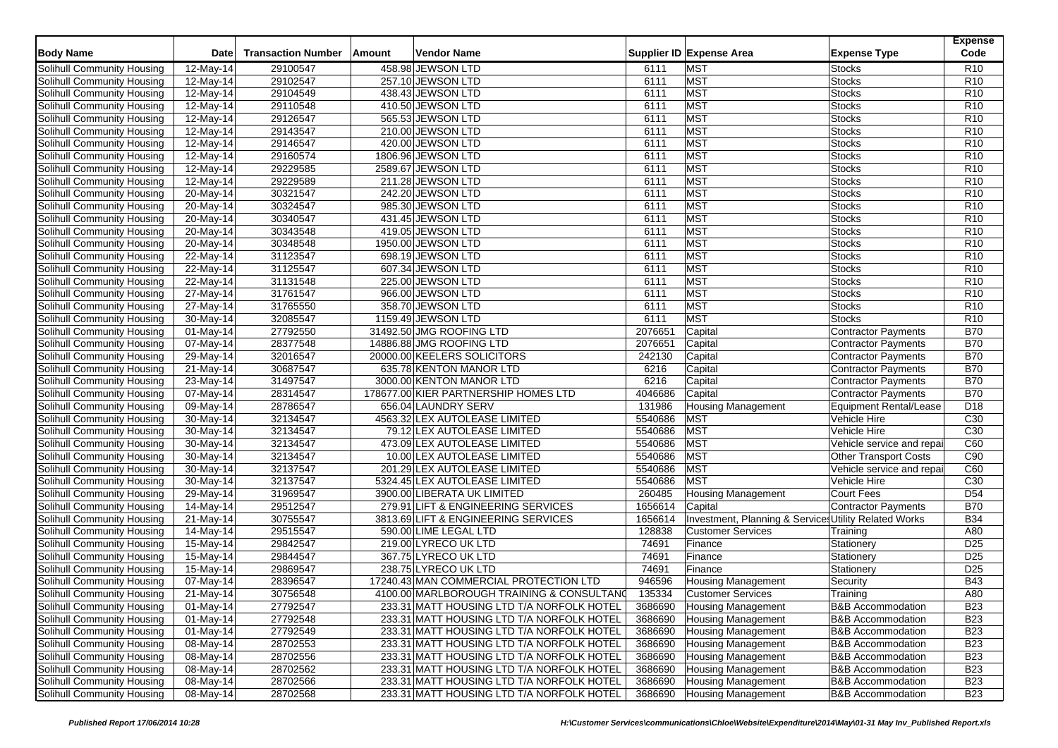| <b>Body Name</b>                  | Date                    | <b>Transaction Number</b> | Amount | Vendor Name                               |              | Supplier ID Expense Area                              | <b>Expense Type</b>            | <b>Expense</b><br>Code |
|-----------------------------------|-------------------------|---------------------------|--------|-------------------------------------------|--------------|-------------------------------------------------------|--------------------------------|------------------------|
|                                   |                         |                           |        | 458.98 JEWSON LTD                         |              | <b>MST</b>                                            |                                | R <sub>10</sub>        |
| Solihull Community Housing        | 12-May-14               | 29100547                  |        |                                           | 6111         | <b>MST</b>                                            | <b>Stocks</b>                  | R <sub>10</sub>        |
| Solihull Community Housing        | 12-May-14               | 29102547                  |        | 257.10 JEWSON LTD                         | 6111<br>6111 | <b>MST</b>                                            | <b>Stocks</b><br><b>Stocks</b> | R <sub>10</sub>        |
| Solihull Community Housing        | 12-May-14               | 29104549                  |        | 438.43 JEWSON LTD                         |              |                                                       |                                |                        |
| Solihull Community Housing        | 12-May-14               | 29110548                  |        | 410.50 JEWSON LTD                         | 6111         | <b>MST</b>                                            | <b>Stocks</b>                  | R <sub>10</sub>        |
| Solihull Community Housing        | 12-May-14               | 29126547                  |        | 565.53 JEWSON LTD                         | 6111         | MST                                                   | <b>Stocks</b>                  | R <sub>10</sub>        |
| Solihull Community Housing        | 12-May-14               | 29143547                  |        | 210.00 JEWSON LTD                         | 6111         | MST                                                   | <b>Stocks</b>                  | R <sub>10</sub>        |
| Solihull Community Housing        | 12-May-14               | 29146547                  |        | 420.00 JEWSON LTD                         | 6111         | <b>MST</b>                                            | Stocks                         | R <sub>10</sub>        |
| Solihull Community Housing        | 12-May-14               | 29160574                  |        | 1806.96 JEWSON LTD                        | 6111         | <b>MST</b>                                            | <b>Stocks</b>                  | R <sub>10</sub>        |
| Solihull Community Housing        | 12-May-14               | 29229585                  |        | 2589.67 JEWSON LTD                        | 6111         | MST                                                   | <b>Stocks</b>                  | R <sub>10</sub>        |
| Solihull Community Housing        | $\overline{12}$ -May-14 | 29229589                  |        | 211.28 JEWSON LTD                         | 6111         | <b>MST</b>                                            | Stocks                         | R <sub>10</sub>        |
| Solihull Community Housing        | 20-May-14               | 30321547                  |        | 242.20 JEWSON LTD                         | 6111         | <b>MST</b>                                            | <b>Stocks</b>                  | R <sub>10</sub>        |
| Solihull Community Housing        | 20-May-14               | 30324547                  |        | 985.30 JEWSON LTD                         | 6111         | MST                                                   | <b>Stocks</b>                  | R <sub>10</sub>        |
| Solihull Community Housing        | 20-May-14               | 30340547                  |        | 431.45 JEWSON LTD                         | 6111         | <b>MST</b>                                            | Stocks                         | R <sub>10</sub>        |
| Solihull Community Housing        | 20-May-14               | 30343548                  |        | 419.05 JEWSON LTD                         | 6111         | MST                                                   | <b>Stocks</b>                  | R <sub>10</sub>        |
| Solihull Community Housing        | 20-May-14               | 30348548                  |        | 1950.00 JEWSON LTD                        | 6111         | <b>MST</b>                                            | <b>Stocks</b>                  | R <sub>10</sub>        |
| Solihull Community Housing        | 22-May-14               | 31123547                  |        | 698.19 JEWSON LTD                         | 6111         | <b>MST</b>                                            | <b>Stocks</b>                  | R <sub>10</sub>        |
| Solihull Community Housing        | 22-May-14               | 31125547                  |        | 607.34 JEWSON LTD                         | 6111         | <b>MST</b>                                            | <b>Stocks</b>                  | R <sub>10</sub>        |
| Solihull Community Housing        | 22-May-14               | 31131548                  |        | 225.00 JEWSON LTD                         | 6111         | <b>MST</b>                                            | <b>Stocks</b>                  | R <sub>10</sub>        |
| Solihull Community Housing        | 27-May-14               | 31761547                  |        | 966.00 JEWSON LTD                         | 6111         | <b>MST</b>                                            | <b>Stocks</b>                  | R <sub>10</sub>        |
| Solihull Community Housing        | 27-May-14               | 31765550                  |        | 358.70 JEWSON LTD                         | 6111         | <b>MST</b>                                            | Stocks                         | R <sub>10</sub>        |
| Solihull Community Housing        | 30-May-14               | 32085547                  |        | 1159.49 JEWSON LTD                        | 6111         | <b>MST</b>                                            | <b>Stocks</b>                  | R <sub>10</sub>        |
| Solihull Community Housing        | 01-May-14               | 27792550                  |        | 31492.50 JMG ROOFING LTD                  | 2076651      | Capital                                               | <b>Contractor Payments</b>     | <b>B70</b>             |
| Solihull Community Housing        | 07-May-14               | 28377548                  |        | 14886.88 JMG ROOFING LTD                  | 2076651      | Capital                                               | Contractor Payments            | <b>B70</b>             |
| Solihull Community Housing        | 29-May-14               | 32016547                  |        | 20000.00 KEELERS SOLICITORS               | 242130       | Capital                                               | <b>Contractor Payments</b>     | <b>B70</b>             |
| Solihull Community Housing        | 21-May-14               | 30687547                  |        | 635.78 KENTON MANOR LTD                   | 6216         | Capital                                               | Contractor Payments            | <b>B70</b>             |
| Solihull Community Housing        | 23-May-14               | 31497547                  |        | 3000.00 KENTON MANOR LTD                  | 6216         | Capital                                               | <b>Contractor Payments</b>     | <b>B70</b>             |
| Solihull Community Housing        | 07-May-14               | 28314547                  |        | 178677.00 KIER PARTNERSHIP HOMES LTD      | 4046686      | Capital                                               | Contractor Payments            | <b>B70</b>             |
| Solihull Community Housing        | 09-May-14               | 28786547                  |        | 656.04 LAUNDRY SERV                       | 131986       | <b>Housing Management</b>                             | <b>Equipment Rental/Lease</b>  | D <sub>18</sub>        |
| Solihull Community Housing        | 30-May-14               | 32134547                  |        | 4563.32 LEX AUTOLEASE LIMITED             | 5540686      | <b>MST</b>                                            | Vehicle Hire                   | C30                    |
| Solihull Community Housing        | 30-May-14               | 32134547                  |        | 79.12 LEX AUTOLEASE LIMITED               | 5540686      | <b>MST</b>                                            | Vehicle Hire                   | C <sub>30</sub>        |
| Solihull Community Housing        | 30-May-14               | 32134547                  |        | 473.09 LEX AUTOLEASE LIMITED              | 5540686      | <b>MST</b>                                            | Vehicle service and repai      | C60                    |
| Solihull Community Housing        | 30-May-14               | 32134547                  |        | 10.00 LEX AUTOLEASE LIMITED               | 5540686      | <b>MST</b>                                            | <b>Other Transport Costs</b>   | C90                    |
| Solihull Community Housing        | 30-May-14               | 32137547                  |        | 201.29 LEX AUTOLEASE LIMITED              | 5540686      | <b>MST</b>                                            | Vehicle service and repai      | C60                    |
| Solihull Community Housing        | 30-May-14               | 32137547                  |        | 5324.45 LEX AUTOLEASE LIMITED             | 5540686      | <b>MST</b>                                            | Vehicle Hire                   | C <sub>30</sub>        |
| Solihull Community Housing        | 29-May-14               | 31969547                  |        | 3900.00 LIBERATA UK LIMITED               | 260485       | <b>Housing Management</b>                             | Court Fees                     | D <sub>54</sub>        |
| <b>Solihull Community Housing</b> | 14-May-14               | 29512547                  |        | 279.91 LIFT & ENGINEERING SERVICES        | 1656614      | Capital                                               | <b>Contractor Payments</b>     | <b>B70</b>             |
| Solihull Community Housing        | $\overline{2}$ 1-May-14 | 30755547                  |        | 3813.69 LIFT & ENGINEERING SERVICES       | 1656614      | Investment, Planning & Services Utility Related Works |                                | <b>B34</b>             |
| Solihull Community Housing        | 14-May-14               | 29515547                  |        | 590.00 LIME LEGAL LTD                     | 128838       | <b>Customer Services</b>                              | Training                       | A80                    |
| Solihull Community Housing        | 15-May-14               | 29842547                  |        | 219.00 LYRECO UK LTD                      | 74691        | Finance                                               | Stationery                     | D <sub>25</sub>        |
| Solihull Community Housing        | 15-May-14               | 29844547                  |        | 367.75 LYRECO UK LTD                      | 74691        | Finance                                               | Stationery                     | D <sub>25</sub>        |
| Solihull Community Housing        | 15-May-14               | 29869547                  |        | 238.75 LYRECO UK LTD                      | 74691        | Finance                                               | Stationery                     | D <sub>25</sub>        |
| Solihull Community Housing        | 07-May-14               | 28396547                  |        | 17240.43 MAN COMMERCIAL PROTECTION LTD    | 946596       | <b>Housing Management</b>                             | Security                       | <b>B43</b>             |
| Solihull Community Housing        | 21-May-14               | 30756548                  |        | 4100.00 MARLBOROUGH TRAINING & CONSULTANO | 135334       | <b>Customer Services</b>                              | Training                       | A80                    |
| Solihull Community Housing        | 01-May-14               | 27792547                  |        | 233.31 MATT HOUSING LTD T/A NORFOLK HOTEL | 3686690      | <b>Housing Management</b>                             | <b>B&amp;B</b> Accommodation   | <b>B23</b>             |
| Solihull Community Housing        | 01-May-14               | 27792548                  |        | 233.31 MATT HOUSING LTD T/A NORFOLK HOTEL | 3686690      | <b>Housing Management</b>                             | <b>B&amp;B Accommodation</b>   | <b>B23</b>             |
| Solihull Community Housing        | 01-May-14               | 27792549                  |        | 233.31 MATT HOUSING LTD T/A NORFOLK HOTEL | 3686690      | <b>Housing Management</b>                             | <b>B&amp;B Accommodation</b>   | <b>B23</b>             |
| Solihull Community Housing        | 08-May-14               | 28702553                  |        | 233.31 MATT HOUSING LTD T/A NORFOLK HOTEL | 3686690      | <b>Housing Management</b>                             | <b>B&amp;B Accommodation</b>   | <b>B23</b>             |
| Solihull Community Housing        | 08-May-14               | 28702556                  |        | 233.31 MATT HOUSING LTD T/A NORFOLK HOTEL | 3686690      | <b>Housing Management</b>                             | <b>B&amp;B Accommodation</b>   | <b>B23</b>             |
| Solihull Community Housing        | 08-May-14               | 28702562                  |        | 233.31 MATT HOUSING LTD T/A NORFOLK HOTEL | 3686690      | <b>Housing Management</b>                             | <b>B&amp;B Accommodation</b>   | <b>B23</b>             |
| Solihull Community Housing        | 08-May-14               | 28702566                  |        | 233.31 MATT HOUSING LTD T/A NORFOLK HOTEL | 3686690      | <b>Housing Management</b>                             | <b>B&amp;B Accommodation</b>   | <b>B23</b>             |
| Solihull Community Housing        | 08-May-14               | 28702568                  |        | 233.31 MATT HOUSING LTD T/A NORFOLK HOTEL | 3686690      | <b>Housing Management</b>                             | <b>B&amp;B Accommodation</b>   | <b>B23</b>             |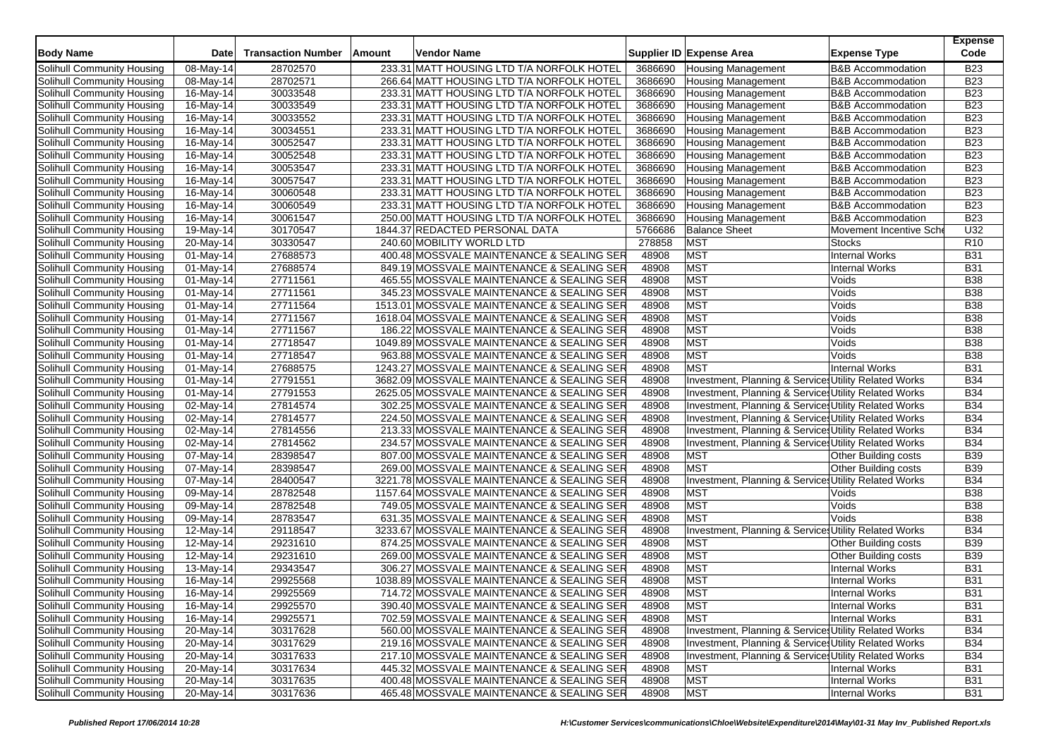| <b>Body Name</b>           | <b>Date</b>               | <b>Transaction Number</b> | Amount | <b>Vendor Name</b>                         |                | Supplier ID Expense Area<br><b>Expense Type</b>           | <b>Expense</b><br>Code   |
|----------------------------|---------------------------|---------------------------|--------|--------------------------------------------|----------------|-----------------------------------------------------------|--------------------------|
| Solihull Community Housing | 08-May-14                 | 28702570                  |        | 233.31 MATT HOUSING LTD T/A NORFOLK HOTEL  | 3686690        | <b>B&amp;B Accommodation</b><br><b>Housing Management</b> | <b>B23</b>               |
| Solihull Community Housing | 08-May-14                 | 28702571                  |        | 266.64 MATT HOUSING LTD T/A NORFOLK HOTEL  | 3686690        | Housing Management<br><b>B&amp;B Accommodation</b>        | <b>B23</b>               |
| Solihull Community Housing | $16$ -May-14              | 30033548                  |        | 233.31 MATT HOUSING LTD T/A NORFOLK HOTEL  | 3686690        | <b>Housing Management</b><br><b>B&amp;B Accommodation</b> | <b>B23</b>               |
| Solihull Community Housing | 16-May-14                 | 30033549                  |        | 233.31 MATT HOUSING LTD T/A NORFOLK HOTEL  | 3686690        | <b>Housing Management</b><br><b>B&amp;B</b> Accommodation | <b>B23</b>               |
| Solihull Community Housing | 16-May-14                 | 30033552                  |        | 233.31 MATT HOUSING LTD T/A NORFOLK HOTEL  | 3686690        | <b>Housing Management</b><br><b>B&amp;B Accommodation</b> | <b>B23</b>               |
| Solihull Community Housing | 16-May-14                 | 30034551                  |        | 233.31 MATT HOUSING LTD T/A NORFOLK HOTEL  | 3686690        | <b>Housing Management</b><br><b>B&amp;B Accommodation</b> | <b>B23</b>               |
| Solihull Community Housing | 16-May-14                 | 30052547                  |        | 233.31 MATT HOUSING LTD T/A NORFOLK HOTEL  | 3686690        | <b>Housing Management</b><br><b>B&amp;B Accommodation</b> | <b>B23</b>               |
| Solihull Community Housing | 16-May-14                 | 30052548                  |        | 233.31 MATT HOUSING LTD T/A NORFOLK HOTEL  | 3686690        | <b>Housing Management</b><br><b>B&amp;B Accommodation</b> | <b>B23</b>               |
| Solihull Community Housing | 16-May-14                 | 30053547                  |        | 233.31 MATT HOUSING LTD T/A NORFOLK HOTEL  | 3686690        | <b>Housing Management</b><br><b>B&amp;B Accommodation</b> | <b>B23</b>               |
| Solihull Community Housing | 16-May-14                 | 30057547                  |        | 233.31 MATT HOUSING LTD T/A NORFOLK HOTEL  | 3686690        | <b>Housing Management</b><br><b>B&amp;B Accommodation</b> | <b>B23</b>               |
| Solihull Community Housing | 16-May-14                 | 30060548                  |        | 233.31 MATT HOUSING LTD T/A NORFOLK HOTEL  | 3686690        | <b>Housing Management</b><br><b>B&amp;B Accommodation</b> | <b>B23</b>               |
| Solihull Community Housing | $\overline{16}$ -May-14   | 30060549                  |        | 233.31 MATT HOUSING LTD T/A NORFOLK HOTEL  | 3686690        | <b>Housing Management</b><br><b>B&amp;B Accommodation</b> | <b>B23</b>               |
| Solihull Community Housing | 16-May-14                 | 30061547                  |        | 250.00 MATT HOUSING LTD T/A NORFOLK HOTEL  | 3686690        | <b>Housing Management</b><br><b>B&amp;B Accommodation</b> | <b>B23</b>               |
| Solihull Community Housing | 19-May-14                 | 30170547                  |        | 1844.37 REDACTED PERSONAL DATA             | 5766686        | <b>Balance Sheet</b><br>Movement Incentive Sche           | U32                      |
| Solihull Community Housing | 20-May-14                 | 30330547                  |        | 240.60 MOBILITY WORLD LTD                  | 278858         | <b>MST</b><br><b>Stocks</b>                               | R <sub>10</sub>          |
| Solihull Community Housing | 01-May-14                 | 27688573                  |        | 400.48 MOSSVALE MAINTENANCE & SEALING SER  | 48908          | <b>MST</b><br><b>Internal Works</b>                       | <b>B31</b>               |
| Solihull Community Housing | 01-May-14                 | 27688574                  |        | 849.19 MOSSVALE MAINTENANCE & SEALING SER  | 48908          | <b>MST</b><br><b>Internal Works</b>                       | <b>B31</b>               |
| Solihull Community Housing | 01-May-14                 | 27711561                  |        | 465.55 MOSSVALE MAINTENANCE & SEALING SER  | 48908          | <b>MST</b><br>Voids                                       | <b>B38</b>               |
| Solihull Community Housing | 01-May-14                 | 27711561                  |        | 345.23 MOSSVALE MAINTENANCE & SEALING SER  | 48908          | <b>MST</b><br>Voids                                       | <b>B38</b>               |
| Solihull Community Housing | 01-May-14                 | 27711564                  |        | 1513.01 MOSSVALE MAINTENANCE & SEALING SER | 48908          | <b>MST</b><br>Voids                                       | <b>B38</b>               |
| Solihull Community Housing | 01-May-14                 | 27711567                  |        | 1618.04 MOSSVALE MAINTENANCE & SEALING SER | 48908          | <b>MST</b><br>Voids                                       | <b>B38</b>               |
| Solihull Community Housing | 01-May-14                 | 27711567                  |        | 186.22 MOSSVALE MAINTENANCE & SEALING SER  | 48908          | <b>MST</b><br>Voids                                       | <b>B38</b>               |
| Solihull Community Housing | 01-May-14                 | 27718547                  |        | 1049.89 MOSSVALE MAINTENANCE & SEALING SER | 48908          | <b>MST</b><br>Voids                                       | <b>B38</b>               |
| Solihull Community Housing | $01$ -May-14              | 27718547                  |        | 963.88 MOSSVALE MAINTENANCE & SEALING SER  | 48908          | <b>MST</b><br>Voids                                       | <b>B38</b>               |
| Solihull Community Housing | 01-May-14                 | 27688575                  |        | 1243.27 MOSSVALE MAINTENANCE & SEALING SER | 48908          | <b>MST</b><br><b>Internal Works</b>                       | <b>B31</b>               |
| Solihull Community Housing | $01$ -May-14              | 27791551                  |        | 3682.09 MOSSVALE MAINTENANCE & SEALING SER | 48908          | Investment, Planning & Service Utility Related Works      | <b>B34</b>               |
| Solihull Community Housing | $01$ -May-14              | 27791553                  |        | 2625.05 MOSSVALE MAINTENANCE & SEALING SER | 48908          | Investment, Planning & Service: Utility Related Works     | <b>B34</b>               |
| Solihull Community Housing | $\overline{0}$ 2-May-14   | 27814574                  |        | 302.25 MOSSVALE MAINTENANCE & SEALING SER  | 48908          | Investment, Planning & Services Utility Related Works     | <b>B34</b>               |
| Solihull Community Housing | $\overline{0}$ 2-May-14   | 27814577                  |        | 224.50 MOSSVALE MAINTENANCE & SEALING SER  | 48908          | Investment, Planning & Service Utility Related Works      | <b>B34</b>               |
| Solihull Community Housing | 02-May-14                 | 27814556                  |        | 213.33 MOSSVALE MAINTENANCE & SEALING SER  | 48908          | Investment, Planning & Services Utility Related Works     | <b>B34</b>               |
| Solihull Community Housing | $\overline{0}$ 2-May-14   | 27814562                  |        | 234.57 MOSSVALE MAINTENANCE & SEALING SER  | 48908          | Investment, Planning & Service: Utility Related Works     | <b>B34</b>               |
| Solihull Community Housing | 07-May-14                 | 28398547                  |        | 807.00 MOSSVALE MAINTENANCE & SEALING SER  | 48908          | <b>MST</b><br>Other Building costs                        | <b>B39</b>               |
| Solihull Community Housing | 07-May-14                 | 28398547                  |        | 269.00 MOSSVALE MAINTENANCE & SEALING SER  | 48908          | <b>MST</b><br>Other Building costs                        | <b>B39</b>               |
| Solihull Community Housing | $\overline{0}$ 7-May-14   | 28400547                  |        | 3221.78 MOSSVALE MAINTENANCE & SEALING SER | 48908          | Investment, Planning & Services Utility Related Works     | <b>B34</b>               |
| Solihull Community Housing | 09-May-14                 | 28782548                  |        | 1157.64 MOSSVALE MAINTENANCE & SEALING SER | 48908          | <b>MST</b><br>Voids                                       | <b>B38</b>               |
| Solihull Community Housing | 09-May-14                 | 28782548                  |        | 749.05 MOSSVALE MAINTENANCE & SEALING SER  | 48908          | <b>MST</b><br>Voids                                       | <b>B38</b>               |
| Solihull Community Housing | 09-May-14                 | 28783547                  |        | 631.35 MOSSVALE MAINTENANCE & SEALING SER  | 48908          | <b>MST</b><br>Voids                                       | <b>B38</b>               |
| Solihull Community Housing | 12-May-14                 | 29118547                  |        | 3233.67 MOSSVALE MAINTENANCE & SEALING SER | 48908          | Investment, Planning & Service: Utility Related Works     | <b>B34</b>               |
| Solihull Community Housing | 12-May-14                 | 29231610                  |        | 874.25 MOSSVALE MAINTENANCE & SEALING SER  | 48908          | <b>MST</b><br>Other Building costs                        | <b>B39</b>               |
| Solihull Community Housing | 12-May-14                 | 29231610                  |        | 269.00 MOSSVALE MAINTENANCE & SEALING SER  | 48908          | <b>MST</b><br>Other Building costs                        | <b>B39</b>               |
| Solihull Community Housing |                           | 29343547                  |        | 306.27 MOSSVALE MAINTENANCE & SEALING SER  | 48908          | <b>MST</b><br><b>Internal Works</b>                       | <b>B31</b>               |
| Solihull Community Housing | 13-May-14                 | 29925568                  |        | 1038.89 MOSSVALE MAINTENANCE & SEALING SER | 48908          | <b>MST</b><br><b>Internal Works</b>                       | <b>B31</b>               |
| Solihull Community Housing | 16-May-14                 | 29925569                  |        | 714.72 MOSSVALE MAINTENANCE & SEALING SER  | 48908          | <b>MST</b><br><b>Internal Works</b>                       | <b>B31</b>               |
|                            | 16-May-14                 |                           |        | 390.40 MOSSVALE MAINTENANCE & SEALING SER  |                | <b>MST</b>                                                |                          |
| Solihull Community Housing | 16-May-14<br>$16$ -May-14 | 29925570                  |        |                                            | 48908<br>48908 | <b>Internal Works</b><br><b>Internal Works</b>            | <b>B31</b><br><b>B31</b> |
| Solihull Community Housing |                           | 29925571                  |        | 702.59 MOSSVALE MAINTENANCE & SEALING SER  |                | <b>MST</b>                                                |                          |
| Solihull Community Housing | 20-May-14                 | 30317628                  |        | 560.00 MOSSVALE MAINTENANCE & SEALING SER  | 48908          | Investment, Planning & Service: Utility Related Works     | <b>B34</b>               |
| Solihull Community Housing | 20-May-14                 | 30317629                  |        | 219.16 MOSSVALE MAINTENANCE & SEALING SER  | 48908          | Investment, Planning & Services Utility Related Works     | <b>B34</b>               |
| Solihull Community Housing | $20$ -May-14              | 30317633                  |        | 217.10 MOSSVALE MAINTENANCE & SEALING SER  | 48908          | Investment, Planning & Services Utility Related Works     | <b>B34</b>               |
| Solihull Community Housing | 20-May-14                 | 30317634                  |        | 445.32 MOSSVALE MAINTENANCE & SEALING SER  | 48908          | <b>MST</b><br><b>Internal Works</b>                       | <b>B31</b>               |
| Solihull Community Housing | 20-May-14                 | 30317635                  |        | 400.48 MOSSVALE MAINTENANCE & SEALING SER  | 48908          | <b>MST</b><br><b>Internal Works</b>                       | <b>B31</b>               |
| Solihull Community Housing | 20-May-14                 | 30317636                  |        | 465.48 MOSSVALE MAINTENANCE & SEALING SER  | 48908          | <b>MST</b><br><b>Internal Works</b>                       | <b>B31</b>               |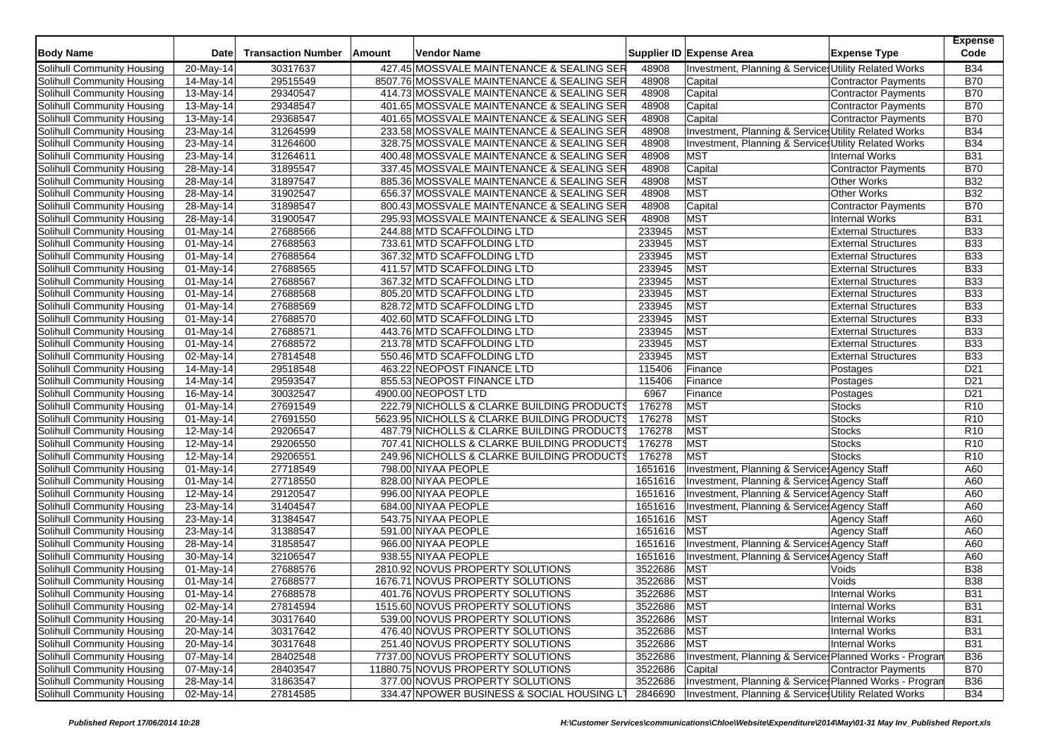| <b>Body Name</b>           | <b>Date</b>             | <b>Transaction Number</b> | Amount | Vendor Name                                 |                    | Supplier ID Expense Area                                | <b>Expense Type</b>            | <b>Expense</b><br>Code             |
|----------------------------|-------------------------|---------------------------|--------|---------------------------------------------|--------------------|---------------------------------------------------------|--------------------------------|------------------------------------|
| Solihull Community Housing | $20$ -May-14            | 30317637                  |        | 427.45 MOSSVALE MAINTENANCE & SEALING SER   | 48908              | Investment, Planning & Service: Utility Related Works   |                                | <b>B34</b>                         |
| Solihull Community Housing | 14-May-14               | 29515549                  |        | 8507.76 MOSSVALE MAINTENANCE & SEALING SER  | 48908              | Capital                                                 | <b>Contractor Payments</b>     | <b>B70</b>                         |
| Solihull Community Housing | 13-May-14               | 29340547                  |        | 414.73 MOSSVALE MAINTENANCE & SEALING SER   | 48908              | Capital                                                 | <b>Contractor Payments</b>     | <b>B70</b>                         |
| Solihull Community Housing | $\overline{13}$ -May-14 | 29348547                  |        | 401.65 MOSSVALE MAINTENANCE & SEALING SER   | 48908              | Capital                                                 | <b>Contractor Payments</b>     | <b>B70</b>                         |
| Solihull Community Housing | 13-May-14               | 29368547                  |        | 401.65 MOSSVALE MAINTENANCE & SEALING SER   | 48908              | Capital                                                 | Contractor Payments            | <b>B70</b>                         |
| Solihull Community Housing | 23-May-14               | 31264599                  |        | 233.58 MOSSVALE MAINTENANCE & SEALING SER   | 48908              | Investment, Planning & Services Utility Related Works   |                                | <b>B34</b>                         |
| Solihull Community Housing | $23-May-14$             | 31264600                  |        | 328.75 MOSSVALE MAINTENANCE & SEALING SER   | 48908              | Investment, Planning & Services Utility Related Works   |                                | <b>B34</b>                         |
| Solihull Community Housing | 23-May-14               | 31264611                  |        | 400.48 MOSSVALE MAINTENANCE & SEALING SER   | 48908              | <b>MST</b>                                              | <b>Internal Works</b>          | <b>B31</b>                         |
| Solihull Community Housing | 28-May-14               | 31895547                  |        | 337.45 MOSSVALE MAINTENANCE & SEALING SER   | 48908              | Capital                                                 | Contractor Payments            | <b>B70</b>                         |
| Solihull Community Housing | $28$ -May-14            | 31897547                  |        | 885.36 MOSSVALE MAINTENANCE & SEALING SER   | 48908              | <b>MST</b>                                              | <b>Other Works</b>             | <b>B32</b>                         |
| Solihull Community Housing | 28-May-14               | 31902547                  |        | 656.37 MOSSVALE MAINTENANCE & SEALING SER   | 48908              | <b>MST</b>                                              | <b>Other Works</b>             | <b>B32</b>                         |
| Solihull Community Housing | 28-May-14               | 31898547                  |        | 800.43 MOSSVALE MAINTENANCE & SEALING SER   | 48908              | Capital                                                 | Contractor Payments            | <b>B70</b>                         |
| Solihull Community Housing | 28-May-14               | 31900547                  |        | 295.93 MOSSVALE MAINTENANCE & SEALING SER   | 48908              | <b>MST</b>                                              | <b>Internal Works</b>          | <b>B31</b>                         |
| Solihull Community Housing | 01-May-14               | 27688566                  |        | 244.88 MTD SCAFFOLDING LTD                  | 233945             | <b>MST</b>                                              | <b>External Structures</b>     | <b>B33</b>                         |
| Solihull Community Housing | 01-May-14               | 27688563                  |        | 733.61 MTD SCAFFOLDING LTD                  | 233945             | <b>MST</b>                                              | <b>External Structures</b>     | <b>B33</b>                         |
| Solihull Community Housing | 01-May-14               | 27688564                  |        | 367.32 MTD SCAFFOLDING LTD                  | 233945             | <b>MST</b>                                              | <b>External Structures</b>     | <b>B33</b>                         |
| Solihull Community Housing | 01-May-14               | 27688565                  |        | 411.57 MTD SCAFFOLDING LTD                  | 233945             | <b>MST</b>                                              | <b>External Structures</b>     | <b>B33</b>                         |
| Solihull Community Housing | $\overline{0}$ 1-May-14 | 27688567                  |        | 367.32 MTD SCAFFOLDING LTD                  | 233945             | <b>MST</b>                                              | <b>External Structures</b>     | <b>B33</b>                         |
| Solihull Community Housing | 01-May-14               | 27688568                  |        | 805.20 MTD SCAFFOLDING LTD                  | 233945             | <b>MST</b>                                              | <b>External Structures</b>     | <b>B33</b>                         |
| Solihull Community Housing | 01-May-14               | 27688569                  |        | 828.72 MTD SCAFFOLDING LTD                  | 233945             | <b>MST</b>                                              | <b>External Structures</b>     | <b>B33</b>                         |
| Solihull Community Housing | 01-May-14               | 27688570                  |        | 402.60 MTD SCAFFOLDING LTD                  | 233945             | <b>MST</b>                                              | <b>External Structures</b>     | <b>B33</b>                         |
| Solihull Community Housing | 01-May-14               | 27688571                  |        | 443.76 MTD SCAFFOLDING LTD                  | 233945             | <b>MST</b>                                              | <b>External Structures</b>     | <b>B33</b>                         |
| Solihull Community Housing | 01-May-14               | 27688572                  |        | 213.78 MTD SCAFFOLDING LTD                  | 233945             | <b>MST</b>                                              | <b>External Structures</b>     | <b>B33</b>                         |
| Solihull Community Housing | 02-May-14               | 27814548                  |        | 550.46 MTD SCAFFOLDING LTD                  | 233945             | <b>MST</b>                                              | <b>External Structures</b>     | <b>B33</b>                         |
| Solihull Community Housing | 14-May-14               | 29518548                  |        | 463.22 NEOPOST FINANCE LTD                  | 115406             | Finance                                                 |                                | D <sub>21</sub>                    |
| Solihull Community Housing |                         | 29593547                  |        | 855.53 NEOPOST FINANCE LTD                  | 115406             | Finance                                                 | Postages                       | D <sub>21</sub>                    |
| Solihull Community Housing | 14-May-14<br>16-May-14  | 30032547                  |        | 4900.00 NEOPOST LTD                         | 6967               | Finance                                                 | Postages<br>Postages           | D <sub>21</sub>                    |
| Solihull Community Housing | 01-May-14               | 27691549                  |        | 222.79 NICHOLLS & CLARKE BUILDING PRODUCTS  | 176278             | <b>MST</b>                                              | <b>Stocks</b>                  | R <sub>10</sub>                    |
| Solihull Community Housing | 01-May-14               | 27691550                  |        | 5623.95 NICHOLLS & CLARKE BUILDING PRODUCTS | 176278             | <b>MST</b>                                              | Stocks                         | R <sub>10</sub>                    |
| Solihull Community Housing | $12-May-14$             | 29206547                  |        | 487.79 NICHOLLS & CLARKE BUILDING PRODUCTS  | 176278             | <b>MST</b>                                              | <b>Stocks</b>                  | R <sub>10</sub>                    |
|                            |                         |                           |        |                                             | 176278             | <b>MST</b>                                              |                                |                                    |
| Solihull Community Housing | 12-May-14               | 29206550                  |        | 707.41 NICHOLLS & CLARKE BUILDING PRODUCTS  |                    | <b>MST</b>                                              | <b>Stocks</b><br><b>Stocks</b> | R <sub>10</sub><br>R <sub>10</sub> |
| Solihull Community Housing | 12-May-14               | 29206551                  |        | 249.96 NICHOLLS & CLARKE BUILDING PRODUCTS  | 176278             |                                                         |                                |                                    |
| Solihull Community Housing | $01$ -May-14            | 27718549                  |        | 798.00 NIYAA PEOPLE                         | 1651616            | Investment, Planning & Service: Agency Staff            |                                | A60                                |
| Solihull Community Housing | 01-May-14               | 27718550                  |        | 828.00 NIYAA PEOPLE                         | 1651616            | Investment, Planning & Service: Agency Staff            |                                | A60                                |
| Solihull Community Housing | 12-May-14               | 29120547                  |        | 996.00 NIYAA PEOPLE                         | 1651616            | Investment, Planning & Service Agency Staff             |                                | A60                                |
| Solihull Community Housing | 23-May-14               | 31404547                  |        | 684.00 NIYAA PEOPLE                         | 1651616            | Investment, Planning & Service: Agency Staff            |                                | A60                                |
| Solihull Community Housing | 23-May-14               | 31384547                  |        | 543.75 NIYAA PEOPLE                         | 1651616            | <b>MST</b>                                              | <b>Agency Staff</b>            | A60                                |
| Solihull Community Housing | 23-May-14               | 31388547                  |        | 591.00 NIYAA PEOPLE                         | 1651616<br>1651616 | <b>MST</b>                                              | <b>Agency Staff</b>            | A60                                |
| Solihull Community Housing | 28-May-14               | 31858547                  |        | 966.00 NIYAA PEOPLE                         |                    | Investment, Planning & Service: Agency Staff            |                                | A60                                |
| Solihull Community Housing | 30-May-14               | 32106547                  |        | 938.55 NIYAA PEOPLE                         | 1651616            | Investment, Planning & Service: Agency Staff            |                                | A60                                |
| Solihull Community Housing | 01-May-14               | 27688576                  |        | 2810.92 NOVUS PROPERTY SOLUTIONS            | 3522686            | <b>MST</b>                                              | Voids                          | <b>B38</b>                         |
| Solihull Community Housing | 01-May-14               | 27688577                  |        | 1676.71 NOVUS PROPERTY SOLUTIONS            | 3522686            | <b>MST</b>                                              | Voids                          | <b>B38</b>                         |
| Solihull Community Housing | $01$ -May-14            | 27688578                  |        | 401.76 NOVUS PROPERTY SOLUTIONS             | 3522686            | <b>MST</b>                                              | <b>Internal Works</b>          | <b>B31</b>                         |
| Solihull Community Housing | 02-May-14               | 27814594                  |        | 1515.60 NOVUS PROPERTY SOLUTIONS            | 3522686 MST        |                                                         | Internal Works                 | <b>B31</b>                         |
| Solihull Community Housing | 20-May-14               | 30317640                  |        | 539.00 NOVUS PROPERTY SOLUTIONS             | 3522686            | <b>MST</b>                                              | <b>Internal Works</b>          | <b>B31</b>                         |
| Solihull Community Housing | $\overline{2}$ 0-May-14 | 30317642                  |        | 476.40 NOVUS PROPERTY SOLUTIONS             | 3522686            | <b>MST</b>                                              | <b>Internal Works</b>          | <b>B31</b>                         |
| Solihull Community Housing | 20-May-14               | 30317648                  |        | 251.40 NOVUS PROPERTY SOLUTIONS             | 3522686            | <b>MST</b>                                              | <b>Internal Works</b>          | <b>B31</b>                         |
| Solihull Community Housing | 07-May-14               | 28402548                  |        | 7737.00 NOVUS PROPERTY SOLUTIONS            | 3522686            | Investment, Planning & Service: Planned Works - Progran |                                | <b>B36</b>                         |
| Solihull Community Housing | 07-May-14               | 28403547                  |        | 11880.75 NOVUS PROPERTY SOLUTIONS           | 3522686            | Capital                                                 | Contractor Payments            | <b>B70</b>                         |
| Solihull Community Housing | 28-May-14               | 31863547                  |        | 377.00 NOVUS PROPERTY SOLUTIONS             | 3522686            | Investment, Planning & Service: Planned Works - Progran |                                | <b>B36</b>                         |
| Solihull Community Housing | 02-May-14               | 27814585                  |        | 334.47 NPOWER BUSINESS & SOCIAL HOUSING LT  | 2846690            | Investment, Planning & Service: Utility Related Works   |                                | <b>B34</b>                         |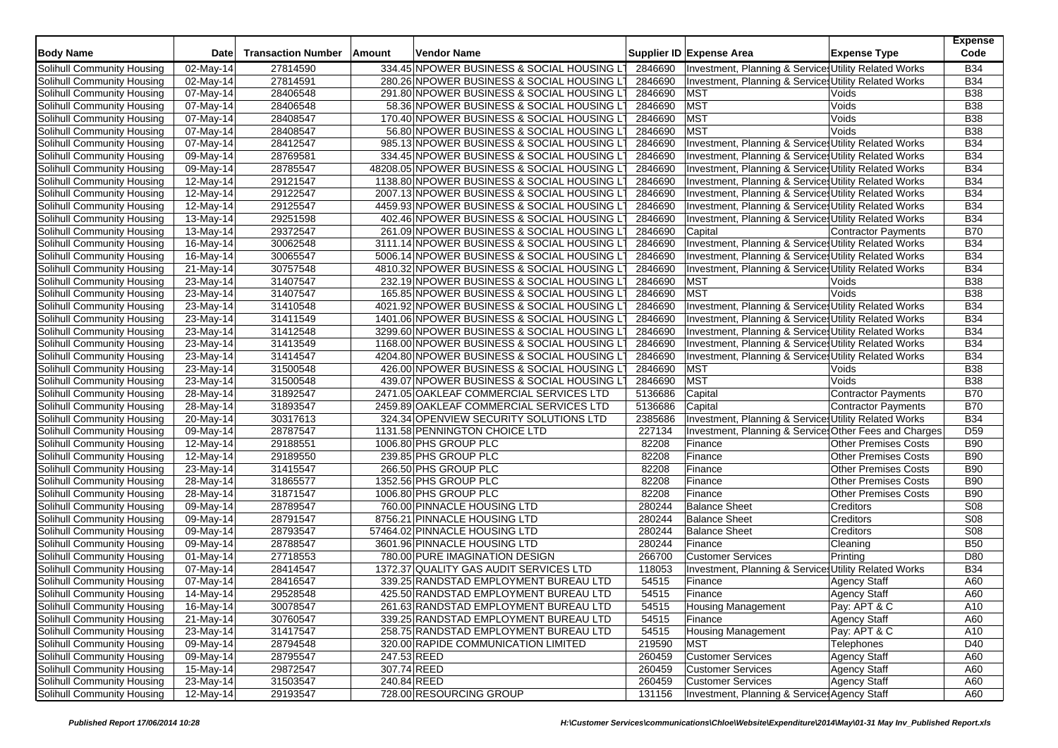| <b>Body Name</b>           | Date                    | <b>Transaction Number</b> | Amount | Vendor Name                                  |         | Supplier ID Expense Area                              | <b>Expense Type</b>                 | <b>Expense</b><br>Code |
|----------------------------|-------------------------|---------------------------|--------|----------------------------------------------|---------|-------------------------------------------------------|-------------------------------------|------------------------|
| Solihull Community Housing | $\overline{0}$ 2-May-14 | 27814590                  |        | 334.45 NPOWER BUSINESS & SOCIAL HOUSING LT   | 2846690 | Investment, Planning & Service: Utility Related Works |                                     | <b>B34</b>             |
| Solihull Community Housing | 02-May-14               | 27814591                  |        | 280.26 NPOWER BUSINESS & SOCIAL HOUSING LT   | 2846690 | Investment, Planning & Service: Utility Related Works |                                     | <b>B34</b>             |
| Solihull Community Housing | 07-May-14               | 28406548                  |        | 291.80 NPOWER BUSINESS & SOCIAL HOUSING LT   | 2846690 | <b>MST</b>                                            | Voids                               | <b>B38</b>             |
| Solihull Community Housing | 07-May-14               | 28406548                  |        | 58.36 NPOWER BUSINESS & SOCIAL HOUSING LT    | 2846690 | <b>MST</b>                                            | Voids                               | <b>B38</b>             |
| Solihull Community Housing | 07-May-14               | 28408547                  |        | 170.40 NPOWER BUSINESS & SOCIAL HOUSING LT   | 2846690 | <b>MST</b>                                            | Voids                               | <b>B38</b>             |
| Solihull Community Housing | 07-May-14               | 28408547                  |        | 56.80 NPOWER BUSINESS & SOCIAL HOUSING LT    | 2846690 | <b>MST</b>                                            | Voids                               | <b>B38</b>             |
| Solihull Community Housing | $\overline{0}$ 7-May-14 | 28412547                  |        | 985.13 NPOWER BUSINESS & SOCIAL HOUSING LT   | 2846690 | Investment, Planning & Services Utility Related Works |                                     | <b>B34</b>             |
| Solihull Community Housing | 09-May-14               | 28769581                  |        | 334.45 NPOWER BUSINESS & SOCIAL HOUSING L'   | 2846690 | Investment, Planning & Service: Utility Related Works |                                     | <b>B34</b>             |
| Solihull Community Housing | 09-May-14               | 28785547                  |        | 48208.05 NPOWER BUSINESS & SOCIAL HOUSING LT | 2846690 | Investment, Planning & Service: Utility Related Works |                                     | <b>B34</b>             |
| Solihull Community Housing | $\overline{1}$ 2-May-14 | 29121547                  |        | 1138.80 NPOWER BUSINESS & SOCIAL HOUSING LT  | 2846690 | Investment, Planning & Service: Utility Related Works |                                     | <b>B34</b>             |
| Solihull Community Housing | 12-May-14               | 29122547                  |        | 2007.13 NPOWER BUSINESS & SOCIAL HOUSING L'  | 2846690 | Investment, Planning & Services Utility Related Works |                                     | <b>B34</b>             |
| Solihull Community Housing | 12-May-14               | 29125547                  |        | 4459.93 NPOWER BUSINESS & SOCIAL HOUSING LT  | 2846690 | Investment, Planning & Services Utility Related Works |                                     | <b>B34</b>             |
| Solihull Community Housing | 13-May-14               | 29251598                  |        | 402.46 NPOWER BUSINESS & SOCIAL HOUSING LT   | 2846690 | Investment, Planning & Services Utility Related Works |                                     | <b>B34</b>             |
| Solihull Community Housing | 13-May-14               | 29372547                  |        | 261.09 NPOWER BUSINESS & SOCIAL HOUSING LT   | 2846690 | Capital                                               | Contractor Payments                 | <b>B70</b>             |
| Solihull Community Housing | 16-May-14               | 30062548                  |        | 3111.14 NPOWER BUSINESS & SOCIAL HOUSING LT  | 2846690 | Investment, Planning & Services Utility Related Works |                                     | <b>B34</b>             |
| Solihull Community Housing | 16-May-14               | 30065547                  |        | 5006.14 NPOWER BUSINESS & SOCIAL HOUSING L'  | 2846690 | Investment, Planning & Services Utility Related Works |                                     | <b>B34</b>             |
| Solihull Community Housing | 21-May-14               | 30757548                  |        | 4810.32 NPOWER BUSINESS & SOCIAL HOUSING LT  | 2846690 | Investment, Planning & Services Utility Related Works |                                     | <b>B34</b>             |
| Solihull Community Housing | 23-May-14               | 31407547                  |        | 232.19 NPOWER BUSINESS & SOCIAL HOUSING LT   | 2846690 | <b>MST</b>                                            | Voids                               | <b>B38</b>             |
| Solihull Community Housing | 23-May-14               | 31407547                  |        | 165.85 NPOWER BUSINESS & SOCIAL HOUSING LT   | 2846690 | <b>MST</b>                                            | Voids                               | <b>B38</b>             |
| Solihull Community Housing | 23-May-14               | 31410548                  |        | 4021.92 NPOWER BUSINESS & SOCIAL HOUSING LT  | 2846690 | Investment, Planning & Services Utility Related Works |                                     | <b>B34</b>             |
| Solihull Community Housing | 23-May-14               | 31411549                  |        | 1401.06 NPOWER BUSINESS & SOCIAL HOUSING LT  | 2846690 | Investment, Planning & Service: Utility Related Works |                                     | <b>B34</b>             |
| Solihull Community Housing | 23-May-14               | 31412548                  |        | 3299.60 NPOWER BUSINESS & SOCIAL HOUSING L   | 2846690 | Investment, Planning & Services Utility Related Works |                                     | <b>B34</b>             |
| Solihull Community Housing | 23-May-14               | 31413549                  |        | 1168.00 NPOWER BUSINESS & SOCIAL HOUSING LT  | 2846690 | Investment, Planning & Services Utility Related Works |                                     | <b>B34</b>             |
| Solihull Community Housing | $\overline{23}$ -May-14 | 31414547                  |        | 4204.80 NPOWER BUSINESS & SOCIAL HOUSING LT  | 2846690 | Investment, Planning & Services Utility Related Works |                                     | <b>B34</b>             |
| Solihull Community Housing | 23-May-14               | 31500548                  |        | 426.00 NPOWER BUSINESS & SOCIAL HOUSING L'   | 2846690 | <b>MST</b>                                            | Voids                               | <b>B38</b>             |
| Solihull Community Housing | 23-May-14               | 31500548                  |        | 439.07 NPOWER BUSINESS & SOCIAL HOUSING LT   | 2846690 | <b>MST</b>                                            | Voids                               | <b>B38</b>             |
| Solihull Community Housing | $28$ -May-14            | 31892547                  |        | 2471.05 OAKLEAF COMMERCIAL SERVICES LTD      | 5136686 | Capital                                               | <b>Contractor Payments</b>          | <b>B70</b>             |
| Solihull Community Housing | 28-May-14               | 31893547                  |        | 2459.89 OAKLEAF COMMERCIAL SERVICES LTD      | 5136686 | Capital                                               | <b>Contractor Payments</b>          | <b>B70</b>             |
| Solihull Community Housing | 20-May-14               | 30317613                  |        | 324.34 OPENVIEW SECURITY SOLUTIONS LTD       | 2385686 | Investment, Planning & Services Utility Related Works |                                     | <b>B34</b>             |
| Solihull Community Housing | 09-May-14               | 28787547                  |        | 1131.58 PENNINGTON CHOICE LTD                | 227134  | Investment, Planning & Service Other Fees and Charges |                                     | D <sub>59</sub>        |
| Solihull Community Housing | 12-May-14               | 29188551                  |        | 1006.80 PHS GROUP PLC                        | 82208   | Finance                                               | <b>Other Premises Costs</b>         | <b>B90</b>             |
| Solihull Community Housing | 12-May-14               | 29189550                  |        | 239.85 PHS GROUP PLC                         | 82208   | Finance                                               | <b>Other Premises Costs</b>         | <b>B90</b>             |
| Solihull Community Housing | 23-May-14               | 31415547                  |        | 266.50 PHS GROUP PLC                         | 82208   | Finance                                               | <b>Other Premises Costs</b>         | <b>B90</b>             |
| Solihull Community Housing | 28-May-14               | 31865577                  |        | 1352.56 PHS GROUP PLC                        | 82208   | Finance                                               | <b>Other Premises Costs</b>         | <b>B90</b>             |
| Solihull Community Housing | 28-May-14               | 31871547                  |        | 1006.80 PHS GROUP PLC                        | 82208   | Finance                                               | <b>Other Premises Costs</b>         | <b>B90</b>             |
| Solihull Community Housing | 09-May-14               | 28789547                  |        | 760.00 PINNACLE HOUSING LTD                  | 280244  | <b>Balance Sheet</b>                                  | Creditors                           | S08                    |
| Solihull Community Housing | 09-May-14               | 28791547                  |        | 8756.21 PINNACLE HOUSING LTD                 | 280244  | <b>Balance Sheet</b>                                  | Creditors                           | <b>S08</b>             |
| Solihull Community Housing | 09-May-14               | 28793547                  |        | 57464.02 PINNACLE HOUSING LTD                | 280244  | <b>Balance Sheet</b>                                  | Creditors                           | <b>S08</b>             |
| Solihull Community Housing | 09-May-14               | 28788547                  |        | 3601.96 PINNACLE HOUSING LTD                 | 280244  | Finance                                               | Cleaning                            | <b>B50</b>             |
| Solihull Community Housing | $\overline{01}$ -May-14 | 27718553                  |        | 780.00 PURE IMAGINATION DESIGN               | 266700  | <b>Customer Services</b>                              | Printing                            | D80                    |
| Solihull Community Housing | 07-May-14               | 28414547                  |        | 1372.37 QUALITY GAS AUDIT SERVICES LTD       | 118053  | Investment, Planning & Services Utility Related Works |                                     | <b>B34</b>             |
| Solihull Community Housing | 07-May-14               | 28416547                  |        | 339.25 RANDSTAD EMPLOYMENT BUREAU LTD        | 54515   | Finance                                               | <b>Agency Staff</b>                 | A60                    |
| Solihull Community Housing | 14-May-14               | 29528548                  |        | 425.50 RANDSTAD EMPLOYMENT BUREAU LTD        | 54515   | Finance                                               | Agency Staff                        | A60                    |
| Solihull Community Housing | 16-May-14               | 30078547                  |        | 261.63 RANDSTAD EMPLOYMENT BUREAU LTD        | 54515   | <b>Housing Management</b>                             | Pay: APT & C                        | A10                    |
| Solihull Community Housing | 21-May-14               | 30760547                  |        | 339.25 RANDSTAD EMPLOYMENT BUREAU LTD        | 54515   | Finance                                               |                                     | A60                    |
| Solihull Community Housing | 23-May-14               | 31417547                  |        | 258.75 RANDSTAD EMPLOYMENT BUREAU LTD        | 54515   | <b>Housing Management</b>                             | <b>Agency Staff</b><br>Pay: APT & C | A10                    |
| Solihull Community Housing | 09-May-14               | 28794548                  |        | 320.00 RAPIDE COMMUNICATION LIMITED          | 219590  | <b>MST</b>                                            | Telephones                          | D40                    |
| Solihull Community Housing | 09-May-14               | 28795547                  |        | 247.53 REED                                  | 260459  | <b>Customer Services</b>                              | <b>Agency Staff</b>                 | A60                    |
| Solihull Community Housing | 15-May-14               |                           |        | 307.74 REED                                  | 260459  | <b>Customer Services</b>                              | <b>Agency Staff</b>                 |                        |
| Solihull Community Housing | 23-May-14               | 29872547<br>31503547      |        | 240.84 REED                                  | 260459  | <b>Customer Services</b>                              |                                     | A60                    |
| Solihull Community Housing |                         |                           |        | 728.00 RESOURCING GROUP                      | 131156  |                                                       | <b>Agency Staff</b>                 | A60                    |
|                            | 12-May-14               | 29193547                  |        |                                              |         | Investment, Planning & Service: Agency Staff          |                                     | A60                    |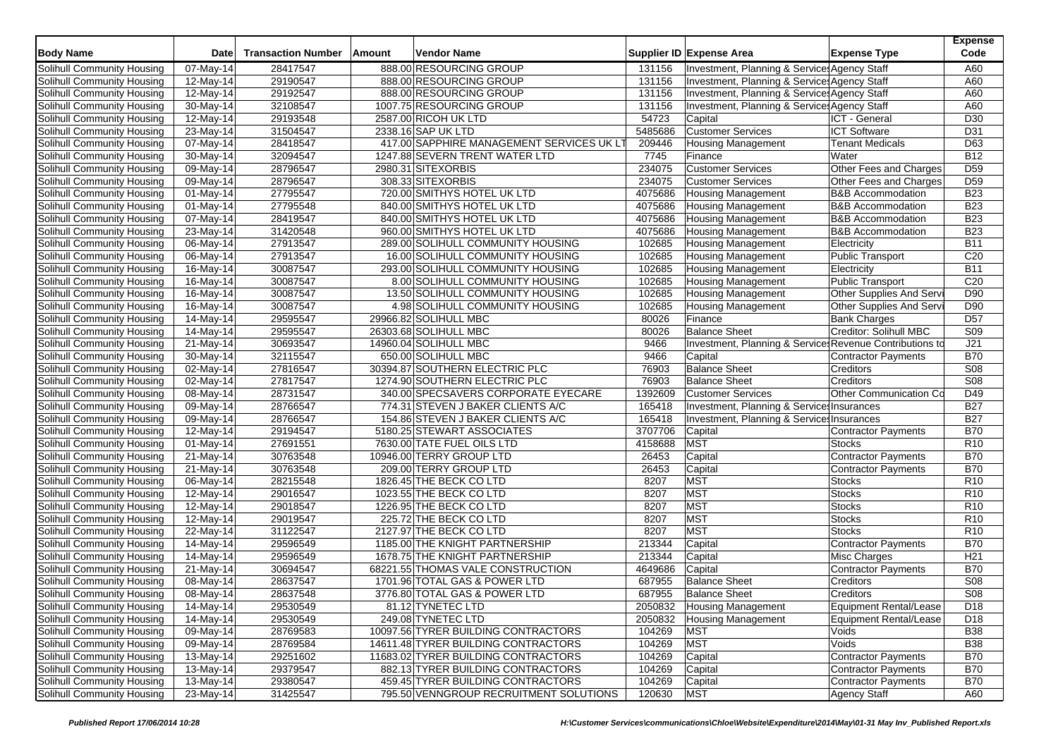| <b>Body Name</b>           | Date                    | <b>Transaction Number</b> | Amount | Vendor Name                                                          |                  | Supplier ID Expense Area                                | <b>Expense Type</b>                    | <b>Expense</b><br>Code        |
|----------------------------|-------------------------|---------------------------|--------|----------------------------------------------------------------------|------------------|---------------------------------------------------------|----------------------------------------|-------------------------------|
| Solihull Community Housing | 07-May-14               | 28417547                  |        | 888.00 RESOURCING GROUP                                              | 131156           | Investment, Planning & Service: Agency Staff            |                                        | A60                           |
| Solihull Community Housing | 12-May-14               | 29190547                  |        | 888.00 RESOURCING GROUP                                              | 131156           | Investment, Planning & Service: Agency Staff            |                                        | A60                           |
| Solihull Community Housing | 12-May-14               | 29192547                  |        | 888.00 RESOURCING GROUP                                              | 131156           | Investment, Planning & Service: Agency Staff            |                                        | A60                           |
| Solihull Community Housing | $30-May-14$             | 32108547                  |        | 1007.75 RESOURCING GROUP                                             | 131156           | Investment, Planning & Services Agency Staff            |                                        | A60                           |
| Solihull Community Housing | 12-May-14               | 29193548                  |        | 2587.00 RICOH UK LTD                                                 | 54723            | Capital                                                 | ICT - General                          | D <sub>30</sub>               |
| Solihull Community Housing | 23-May-14               | 31504547                  |        | 2338.16 SAP UK LTD                                                   | 5485686          | <b>Customer Services</b>                                | <b>ICT Software</b>                    | D31                           |
| Solihull Community Housing | $\overline{07}$ -May-14 | 28418547                  |        | 417.00 SAPPHIRE MANAGEMENT SERVICES UK LT                            | 209446           | <b>Housing Management</b>                               | <b>Tenant Medicals</b>                 | D63                           |
| Solihull Community Housing | 30-May-14               | 32094547                  |        | 1247.88 SEVERN TRENT WATER LTD                                       | 7745             | Finance                                                 | Water                                  | <b>B12</b>                    |
| Solihull Community Housing | 09-May-14               | 28796547                  |        | 2980.31 SITEXORBIS                                                   | 234075           | <b>Customer Services</b>                                | Other Fees and Charges                 | D <sub>59</sub>               |
| Solihull Community Housing | $\overline{0}9$ -May-14 | 28796547                  |        | 308.33 SITEXORBIS                                                    | 234075           | <b>Customer Services</b>                                | Other Fees and Charges                 | D <sub>59</sub>               |
| Solihull Community Housing | 01-May-14               | 27795547                  |        | 720.00 SMITHYS HOTEL UK LTD                                          | 4075686          | <b>Housing Management</b>                               | <b>B&amp;B Accommodation</b>           | <b>B23</b>                    |
| Solihull Community Housing | 01-May-14               | 27795548                  |        | 840.00 SMITHYS HOTEL UK LTD                                          | 4075686          | <b>Housing Management</b>                               | <b>B&amp;B Accommodation</b>           | <b>B23</b>                    |
| Solihull Community Housing | 07-May-14               | 28419547                  |        | 840.00 SMITHYS HOTEL UK LTD                                          | 4075686          | <b>Housing Management</b>                               | <b>B&amp;B</b> Accommodation           | <b>B23</b>                    |
| Solihull Community Housing |                         | 31420548                  |        | 960.00 SMITHYS HOTEL UK LTD                                          | 4075686          |                                                         | <b>B&amp;B</b> Accommodation           | <b>B23</b>                    |
| Solihull Community Housing | 23-May-14               | 27913547                  |        | 289.00 SOLIHULL COMMUNITY HOUSING                                    | 102685           | <b>Housing Management</b><br>Housing Management         | Electricity                            | <b>B11</b>                    |
|                            | 06-May-14               |                           |        |                                                                      |                  |                                                         |                                        |                               |
| Solihull Community Housing | 06-May-14               | 27913547                  |        | 16.00 SOLIHULL COMMUNITY HOUSING                                     | 102685           | <b>Housing Management</b>                               | <b>Public Transport</b>                | C <sub>20</sub><br><b>B11</b> |
| Solihull Community Housing | 16-May-14               | 30087547<br>30087547      |        | 293.00 SOLIHULL COMMUNITY HOUSING<br>8.00 SOLIHULL COMMUNITY HOUSING | 102685<br>102685 | <b>Housing Management</b><br>Housing Management         | Electricity<br><b>Public Transport</b> | C <sub>20</sub>               |
| Solihull Community Housing | 16-May-14               |                           |        |                                                                      |                  |                                                         | Other Supplies And Serv                | D90                           |
| Solihull Community Housing | 16-May-14               | 30087547<br>30087547      |        | 13.50 SOLIHULL COMMUNITY HOUSING<br>4.98 SOLIHULL COMMUNITY HOUSING  | 102685<br>102685 | <b>Housing Management</b>                               | Other Supplies And Serv                | D90                           |
| Solihull Community Housing | 16-May-14               |                           |        |                                                                      |                  | <b>Housing Management</b>                               |                                        |                               |
| Solihull Community Housing | 14-May-14               | 29595547                  |        | 29966.82 SOLIHULL MBC                                                | 80026            | Finance                                                 | <b>Bank Charges</b>                    | D <sub>57</sub>               |
| Solihull Community Housing | 14-May-14               | 29595547                  |        | 26303.68 SOLIHULL MBC                                                | 80026            | <b>Balance Sheet</b>                                    | Creditor: Solihull MBC                 | S <sub>09</sub>               |
| Solihull Community Housing | 21-May-14               | 30693547                  |        | 14960.04 SOLIHULL MBC                                                | 9466             | Investment, Planning & Service Revenue Contributions to |                                        | J21                           |
| Solihull Community Housing | 30-May-14               | 32115547                  |        | 650.00 SOLIHULL MBC                                                  | 9466             | Capital                                                 | <b>Contractor Payments</b>             | <b>B70</b>                    |
| Solihull Community Housing | 02-May-14               | 27816547                  |        | 30394.87 SOUTHERN ELECTRIC PLC                                       | 76903            | <b>Balance Sheet</b>                                    | Creditors                              | S08                           |
| Solihull Community Housing | 02-May-14               | 27817547                  |        | 1274.90 SOUTHERN ELECTRIC PLC                                        | 76903            | <b>Balance Sheet</b>                                    | Creditors                              | <b>S08</b>                    |
| Solihull Community Housing | 08-May-14               | 28731547                  |        | 340.00 SPECSAVERS CORPORATE EYECARE                                  | 1392609          | <b>Customer Services</b>                                | Other Communication Co                 | D49                           |
| Solihull Community Housing | 09-May-14               | 28766547                  |        | 774.31 STEVEN J BAKER CLIENTS A/C                                    | 165418           | Investment, Planning & Service: Insurances              |                                        | <b>B27</b>                    |
| Solihull Community Housing | 09-May-14               | 28766547                  |        | 154.86 STEVEN J BAKER CLIENTS A/C                                    | 165418           | Investment, Planning & Service Insurances               |                                        | <b>B27</b>                    |
| Solihull Community Housing | 12-May-14               | 29194547                  |        | 5180.25 STEWART ASSOCIATES                                           | 3707706          | Capital                                                 | Contractor Payments                    | <b>B70</b>                    |
| Solihull Community Housing | 01-May-14               | 27691551                  |        | 7630.00 TATE FUEL OILS LTD                                           | 4158688          | <b>MST</b>                                              | <b>Stocks</b>                          | R <sub>10</sub>               |
| Solihull Community Housing | 21-May-14               | 30763548                  |        | 10946.00 TERRY GROUP LTD                                             | 26453            | Capital                                                 | Contractor Payments                    | <b>B70</b>                    |
| Solihull Community Housing | 21-May-14               | 30763548                  |        | 209.00 TERRY GROUP LTD                                               | 26453            | Capital                                                 | <b>Contractor Payments</b>             | <b>B70</b>                    |
| Solihull Community Housing | 06-May-14               | 28215548                  |        | 1826.45 THE BECK CO LTD                                              | 8207             | <b>MST</b>                                              | <b>Stocks</b>                          | R <sub>10</sub>               |
| Solihull Community Housing | 12-May-14               | 29016547                  |        | 1023.55 THE BECK CO LTD                                              | 8207             | <b>MST</b>                                              | Stocks                                 | R <sub>10</sub>               |
| Solihull Community Housing | 12-May-14               | 29018547                  |        | 1226.95 THE BECK CO LTD                                              | 8207             | <b>MST</b>                                              | Stocks                                 | R <sub>10</sub>               |
| Solihull Community Housing | 12-May-14               | 29019547                  |        | 225.72 THE BECK CO LTD                                               | 8207             | <b>MST</b>                                              | <b>Stocks</b>                          | R <sub>10</sub>               |
| Solihull Community Housing | 22-May-14               | 31122547                  |        | 2127.97 THE BECK CO LTD                                              | 8207             | <b>MST</b>                                              | <b>Stocks</b>                          | R <sub>10</sub>               |
| Solihull Community Housing | 14-May-14               | 29596549                  |        | 1185.00 THE KNIGHT PARTNERSHIP                                       | 213344           | Capital                                                 | Contractor Payments                    | <b>B70</b>                    |
| Solihull Community Housing | 14-May-14               | 29596549                  |        | 1678.75 THE KNIGHT PARTNERSHIP                                       | 213344           | Capital                                                 | Misc Charges                           | H <sub>21</sub>               |
| Solihull Community Housing | 21-May-14               | 30694547                  |        | 68221.55 THOMAS VALE CONSTRUCTION                                    | 4649686          | Capital                                                 | <b>Contractor Payments</b>             | <b>B70</b>                    |
| Solihull Community Housing | 08-May-14               | 28637547                  |        | 1701.96 TOTAL GAS & POWER LTD                                        | 687955           | <b>Balance Sheet</b>                                    | Creditors                              | <b>S08</b>                    |
| Solihull Community Housing | 08-May-14               | 28637548                  |        | 3776.80 TOTAL GAS & POWER LTD                                        | 687955           | <b>Balance Sheet</b>                                    | Creditors                              | <b>S08</b>                    |
| Solihull Community Housing | 14-May-14               | 29530549                  |        | 81.12 TYNETEC LTD                                                    | 2050832          | <b>Housing Management</b>                               | Equipment Rental/Lease                 | D <sub>18</sub>               |
| Solihull Community Housing | 14-May-14               | 29530549                  |        | 249.08 TYNETEC LTD                                                   | 2050832          | <b>Housing Management</b>                               | <b>Equipment Rental/Lease</b>          | D <sub>18</sub>               |
| Solihull Community Housing | 09-May-14               | 28769583                  |        | 10097.56 TYRER BUILDING CONTRACTORS                                  | 104269           | <b>MST</b>                                              | Voids                                  | <b>B38</b>                    |
| Solihull Community Housing | 09-May-14               | 28769584                  |        | 14611.48 TYRER BUILDING CONTRACTORS                                  | 104269           | <b>MST</b>                                              | Voids                                  | <b>B38</b>                    |
| Solihull Community Housing | 13-May-14               | 29251602                  |        | 11683.02 TYRER BUILDING CONTRACTORS                                  | 104269           | Capital                                                 | Contractor Payments                    | <b>B70</b>                    |
| Solihull Community Housing | 13-May-14               | 29379547                  |        | 882.13 TYRER BUILDING CONTRACTORS                                    | 104269           | Capital                                                 | <b>Contractor Payments</b>             | <b>B70</b>                    |
| Solihull Community Housing | 13-May-14               | 29380547                  |        | 459.45 TYRER BUILDING CONTRACTORS                                    | 104269           | Capital                                                 | <b>Contractor Payments</b>             | <b>B70</b>                    |
| Solihull Community Housing | 23-May-14               | 31425547                  |        | 795.50 VENNGROUP RECRUITMENT SOLUTIONS                               | 120630           | <b>MST</b>                                              | Agency Staff                           | A60                           |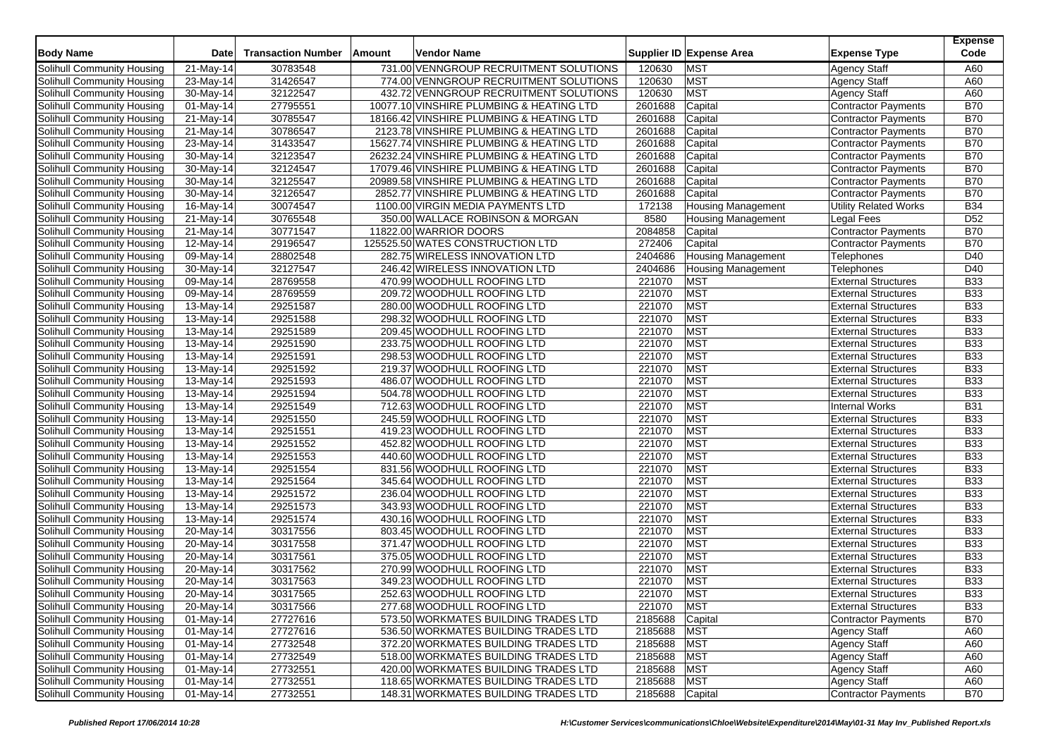| <b>Body Name</b>                                         | Date                    | <b>Transaction Number</b> | Amount | Vendor Name                                                |         | Supplier ID Expense Area  | <b>Expense Type</b>                                      | <b>Expense</b><br>Code |
|----------------------------------------------------------|-------------------------|---------------------------|--------|------------------------------------------------------------|---------|---------------------------|----------------------------------------------------------|------------------------|
| Solihull Community Housing                               | $\overline{2}$ 1-May-14 | 30783548                  |        | 731.00 VENNGROUP RECRUITMENT SOLUTIONS                     | 120630  | <b>MST</b>                | <b>Agency Staff</b>                                      | A60                    |
| Solihull Community Housing                               | 23-May-14               | 31426547                  |        | 774.00 VENNGROUP RECRUITMENT SOLUTIONS                     | 120630  | <b>MST</b>                | <b>Agency Staff</b>                                      | A60                    |
| Solihull Community Housing                               | 30-May-14               | 32122547                  |        | 432.72 VENNGROUP RECRUITMENT SOLUTIONS                     | 120630  | <b>MST</b>                | <b>Agency Staff</b>                                      | A60                    |
| Solihull Community Housing                               | 01-May-14               | 27795551                  |        | 10077.10 VINSHIRE PLUMBING & HEATING LTD                   | 2601688 | Capital                   | Contractor Payments                                      | <b>B70</b>             |
| Solihull Community Housing                               | 21-May-14               | 30785547                  |        | 18166.42 VINSHIRE PLUMBING & HEATING LTD                   | 2601688 | Capital                   | <b>Contractor Payments</b>                               | <b>B70</b>             |
| Solihull Community Housing                               | 21-May-14               | 30786547                  |        | 2123.78 VINSHIRE PLUMBING & HEATING LTD                    | 2601688 | Capital                   | Contractor Payments                                      | <b>B70</b>             |
| Solihull Community Housing                               | 23-May-14               | 31433547                  |        | 15627.74 VINSHIRE PLUMBING & HEATING LTD                   | 2601688 | Capital                   | Contractor Payments                                      | <b>B70</b>             |
| Solihull Community Housing                               | 30-May-14               | 32123547                  |        | 26232.24 VINSHIRE PLUMBING & HEATING LTD                   | 2601688 | Capital                   | Contractor Payments                                      | <b>B70</b>             |
| Solihull Community Housing                               | 30-May-14               | 32124547                  |        | 17079.46 VINSHIRE PLUMBING & HEATING LTD                   | 2601688 | Capital                   | <b>Contractor Payments</b>                               | <b>B70</b>             |
| Solihull Community Housing                               | 30-May-14               | 32125547                  |        | 20989.58 VINSHIRE PLUMBING & HEATING LTD                   | 2601688 | Capital                   | Contractor Payments                                      | <b>B70</b>             |
| Solihull Community Housing                               | 30-May-14               | 32126547                  |        | 2852.77 VINSHIRE PLUMBING & HEATING LTD                    | 2601688 | Capital                   | <b>Contractor Payments</b>                               | <b>B70</b>             |
| Solihull Community Housing                               | 16-May-14               | 30074547                  |        | 1100.00 VIRGIN MEDIA PAYMENTS LTD                          | 172138  | <b>Housing Management</b> | <b>Utility Related Works</b>                             | <b>B34</b>             |
| Solihull Community Housing                               | $\overline{2}$ 1-May-14 | 30765548                  |        | 350.00 WALLACE ROBINSON & MORGAN                           | 8580    | <b>Housing Management</b> | <b>Legal Fees</b>                                        | D <sub>52</sub>        |
| Solihull Community Housing                               | 21-May-14               | 30771547                  |        | 11822.00 WARRIOR DOORS                                     | 2084858 | Capital                   | <b>Contractor Payments</b>                               | <b>B70</b>             |
| Solihull Community Housing                               | 12-May-14               | 29196547                  |        | 125525.50 WATES CONSTRUCTION LTD                           | 272406  | Capital                   | <b>Contractor Payments</b>                               | <b>B70</b>             |
| Solihull Community Housing                               | 09-May-14               | 28802548                  |        | 282.75 WIRELESS INNOVATION LTD                             | 2404686 | <b>Housing Management</b> | Telephones                                               | D40                    |
| Solihull Community Housing                               | 30-May-14               | 32127547                  |        | 246.42 WIRELESS INNOVATION LTD                             | 2404686 | <b>Housing Management</b> | Telephones                                               | D40                    |
| Solihull Community Housing                               | 09-May-14               | 28769558                  |        | 470.99 WOODHULL ROOFING LTD                                | 221070  | <b>MST</b>                | <b>External Structures</b>                               | <b>B33</b>             |
| Solihull Community Housing                               | 09-May-14               | 28769559                  |        | 209.72 WOODHULL ROOFING LTD                                | 221070  | <b>MST</b>                | <b>External Structures</b>                               | <b>B33</b>             |
| Solihull Community Housing                               | 13-May-14               | 29251587                  |        | 280.00 WOODHULL ROOFING LTD                                | 221070  | <b>MST</b>                | <b>External Structures</b>                               | <b>B33</b>             |
| Solihull Community Housing                               | $\overline{1}$ 3-May-14 | 29251588                  |        | 298.32 WOODHULL ROOFING LTD                                | 221070  | <b>MST</b>                | <b>External Structures</b>                               | <b>B33</b>             |
| Solihull Community Housing                               | 13-May-14               | 29251589                  |        | 209.45 WOODHULL ROOFING LTD                                | 221070  | <b>MST</b>                | <b>External Structures</b>                               | <b>B33</b>             |
| Solihull Community Housing                               | 13-May-14               | 29251590                  |        | 233.75 WOODHULL ROOFING LTD                                | 221070  | <b>MST</b>                | <b>External Structures</b>                               | <b>B33</b>             |
| Solihull Community Housing                               | 13-May-14               | 29251591                  |        | 298.53 WOODHULL ROOFING LTD                                | 221070  | <b>MST</b>                | <b>External Structures</b>                               | <b>B33</b>             |
| Solihull Community Housing                               | 13-May-14               | 29251592                  |        | 219.37 WOODHULL ROOFING LTD                                | 221070  | <b>MST</b>                | <b>External Structures</b>                               | <b>B33</b>             |
| Solihull Community Housing                               | 13-May-14               | 29251593                  |        | 486.07 WOODHULL ROOFING LTD                                | 221070  | <b>MST</b>                | <b>External Structures</b>                               | <b>B33</b>             |
| Solihull Community Housing                               | 13-May-14               | 29251594                  |        | 504.78 WOODHULL ROOFING LTD                                | 221070  | <b>MST</b>                | <b>External Structures</b>                               | <b>B33</b>             |
| Solihull Community Housing                               | 13-May-14               | 29251549                  |        | 712.63 WOODHULL ROOFING LTD                                | 221070  | <b>MST</b>                | <b>Internal Works</b>                                    | <b>B31</b>             |
| Solihull Community Housing                               | 13-May-14               | 29251550                  |        | 245.59 WOODHULL ROOFING LTD                                | 221070  | <b>MST</b>                | <b>External Structures</b>                               | <b>B33</b>             |
| Solihull Community Housing                               | 13-May-14               | 29251551                  |        | 419.23 WOODHULL ROOFING LTD                                | 221070  | <b>MST</b>                | <b>External Structures</b>                               | <b>B33</b>             |
| Solihull Community Housing                               | 13-May-14               | 29251552                  |        | 452.82 WOODHULL ROOFING LTD                                | 221070  | <b>MST</b>                | <b>External Structures</b>                               | <b>B33</b>             |
| Solihull Community Housing                               | 13-May-14               | 29251553                  |        | 440.60 WOODHULL ROOFING LTD                                | 221070  | <b>MST</b>                | <b>External Structures</b>                               | <b>B33</b>             |
| Solihull Community Housing                               | 13-May-14               | 29251554                  |        | 831.56 WOODHULL ROOFING LTD                                | 221070  | <b>MST</b>                | <b>External Structures</b>                               | <b>B33</b>             |
| Solihull Community Housing                               | 13-May-14               | 29251564                  |        | 345.64 WOODHULL ROOFING LTD                                | 221070  | <b>MST</b>                | <b>External Structures</b>                               | <b>B33</b>             |
|                                                          |                         | 29251572                  |        | 236.04 WOODHULL ROOFING LTD                                | 221070  | <b>MST</b>                | <b>External Structures</b>                               | <b>B33</b>             |
| Solihull Community Housing                               | 13-May-14               | 29251573                  |        | 343.93 WOODHULL ROOFING LTD                                | 221070  | <b>MST</b>                | <b>External Structures</b>                               | <b>B33</b>             |
| Solihull Community Housing<br>Solihull Community Housing | 13-May-14               | 29251574                  |        | 430.16 WOODHULL ROOFING LTD                                | 221070  | <b>MST</b>                | <b>External Structures</b>                               | <b>B33</b>             |
| Solihull Community Housing                               | 13-May-14               |                           |        |                                                            |         | <b>MST</b>                |                                                          | <b>B33</b>             |
|                                                          | 20-May-14               | 30317556                  |        | 803.45 WOODHULL ROOFING LTD<br>371.47 WOODHULL ROOFING LTD | 221070  |                           | <b>External Structures</b><br><b>External Structures</b> | <b>B33</b>             |
| Solihull Community Housing                               | 20-May-14               | 30317558                  |        |                                                            | 221070  | <b>MST</b><br><b>MST</b>  | <b>External Structures</b>                               |                        |
| Solihull Community Housing                               | 20-May-14               | 30317561<br>30317562      |        | 375.05 WOODHULL ROOFING LTD                                | 221070  | <b>MST</b>                |                                                          | <b>B33</b>             |
| Solihull Community Housing                               | 20-May-14               |                           |        | 270.99 WOODHULL ROOFING LTD                                | 221070  |                           | <b>External Structures</b>                               | <b>B33</b>             |
| Solihull Community Housing                               | 20-May-14               | 30317563                  |        | 349.23 WOODHULL ROOFING LTD                                | 221070  | <b>MST</b>                | <b>External Structures</b>                               | <b>B33</b>             |
| Solihull Community Housing                               | 20-May-14               | 30317565                  |        | 252.63 WOODHULL ROOFING LTD                                | 221070  | <b>MST</b>                | <b>External Structures</b>                               | <b>B33</b>             |
| Solihull Community Housing                               | 20-May-14               | 30317566                  |        | 277.68 WOODHULL ROOFING LTD                                | 221070  | <b>MST</b>                | <b>External Structures</b>                               | <b>B33</b>             |
| Solihull Community Housing                               | 01-May-14               | 27727616                  |        | 573.50 WORKMATES BUILDING TRADES LTD                       | 2185688 | Capital                   | Contractor Payments                                      | <b>B70</b>             |
| Solihull Community Housing                               | $01$ -May-14            | 27727616                  |        | 536.50 WORKMATES BUILDING TRADES LTD                       | 2185688 | <b>MST</b>                | <b>Agency Staff</b>                                      | A60                    |
| Solihull Community Housing                               | $01$ -May-14            | 27732548                  |        | 372.20 WORKMATES BUILDING TRADES LTD                       | 2185688 | <b>MST</b>                | <b>Agency Staff</b>                                      | A60                    |
| Solihull Community Housing                               | 01-May-14               | 27732549                  |        | 518.00 WORKMATES BUILDING TRADES LTD                       | 2185688 | <b>MST</b>                | Agency Staff                                             | A60                    |
| Solihull Community Housing                               | $01$ -May-14            | 27732551                  |        | 420.00 WORKMATES BUILDING TRADES LTD                       | 2185688 | <b>MST</b>                | <b>Agency Staff</b>                                      | A60                    |
| Solihull Community Housing                               | 01-May-14               | 27732551                  |        | 118.65 WORKMATES BUILDING TRADES LTD                       | 2185688 | <b>MST</b>                | <b>Agency Staff</b>                                      | A60                    |
| Solihull Community Housing                               | 01-May-14               | 27732551                  |        | 148.31 WORKMATES BUILDING TRADES LTD                       | 2185688 | Capital                   | Contractor Payments                                      | <b>B70</b>             |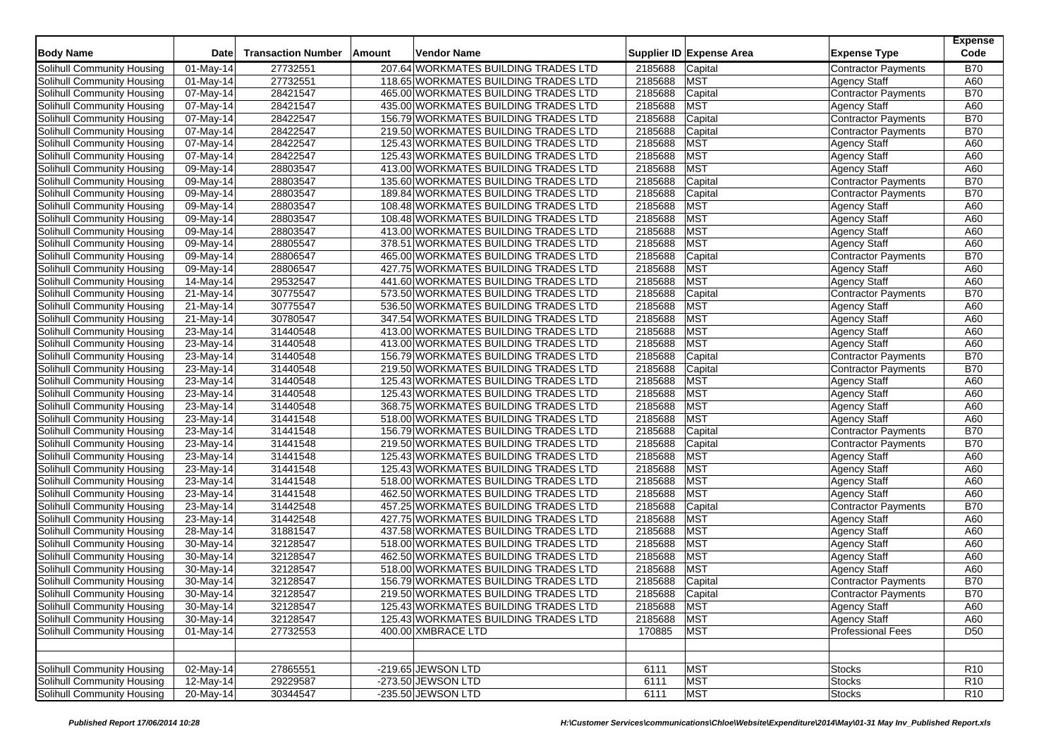| <b>Body Name</b>                  | Date                    | <b>Transaction Number</b> | Amount | Vendor Name                          |             | Supplier ID Expense Area | <b>Expense Type</b>        | <b>Expense</b><br>Code |
|-----------------------------------|-------------------------|---------------------------|--------|--------------------------------------|-------------|--------------------------|----------------------------|------------------------|
| Solihull Community Housing        | $\overline{0}$ 1-May-14 | 27732551                  |        | 207.64 WORKMATES BUILDING TRADES LTD | 2185688     | Capital                  | <b>Contractor Payments</b> | <b>B70</b>             |
| Solihull Community Housing        | 01-May-14               | 27732551                  |        | 118.65 WORKMATES BUILDING TRADES LTD | 2185688     | <b>MST</b>               | <b>Agency Staff</b>        | A60                    |
| Solihull Community Housing        | 07-May-14               | 28421547                  |        | 465.00 WORKMATES BUILDING TRADES LTD | 2185688     | Capital                  | Contractor Payments        | <b>B70</b>             |
| Solihull Community Housing        | 07-May-14               | 28421547                  |        | 435.00 WORKMATES BUILDING TRADES LTD | 2185688     | <b>MST</b>               | <b>Agency Staff</b>        | A60                    |
| Solihull Community Housing        | 07-May-14               | 28422547                  |        | 156.79 WORKMATES BUILDING TRADES LTD | 2185688     | Capital                  | <b>Contractor Payments</b> | <b>B70</b>             |
| Solihull Community Housing        | 07-May-14               | 28422547                  |        | 219.50 WORKMATES BUILDING TRADES LTD | 2185688     | Capital                  | <b>Contractor Payments</b> | <b>B70</b>             |
| Solihull Community Housing        | 07-May-14               | 28422547                  |        | 125.43 WORKMATES BUILDING TRADES LTD | 2185688     | <b>MST</b>               | <b>Agency Staff</b>        | A60                    |
| Solihull Community Housing        | 07-May-14               | 28422547                  |        | 125.43 WORKMATES BUILDING TRADES LTD | 2185688     | <b>MST</b>               | Agency Staff               | A60                    |
| Solihull Community Housing        | 09-May-14               | 28803547                  |        | 413.00 WORKMATES BUILDING TRADES LTD | 2185688     | <b>MST</b>               | <b>Agency Staff</b>        | A60                    |
| Solihull Community Housing        | $\overline{0}9$ -May-14 | 28803547                  |        | 135.60 WORKMATES BUILDING TRADES LTD | 2185688     | Capital                  | Contractor Payments        | <b>B70</b>             |
| Solihull Community Housing        | 09-May-14               | 28803547                  |        | 189.84 WORKMATES BUILDING TRADES LTD | 2185688     | Capital                  | Contractor Payments        | <b>B70</b>             |
| Solihull Community Housing        | 09-May-14               | 28803547                  |        | 108.48 WORKMATES BUILDING TRADES LTD | 2185688     | <b>MST</b>               | <b>Agency Staff</b>        | A60                    |
| Solihull Community Housing        | $\overline{09}$ -May-14 | 28803547                  |        | 108.48 WORKMATES BUILDING TRADES LTD | 2185688     | <b>MST</b>               | <b>Agency Staff</b>        | A60                    |
| Solihull Community Housing        | 09-May-14               | 28803547                  |        | 413.00 WORKMATES BUILDING TRADES LTD | 2185688     | <b>MST</b>               | <b>Agency Staff</b>        | A60                    |
| Solihull Community Housing        | 09-May-14               | 28805547                  |        | 378.51 WORKMATES BUILDING TRADES LTD | 2185688     | <b>MST</b>               | <b>Agency Staff</b>        | A60                    |
| Solihull Community Housing        | 09-May-14               | 28806547                  |        | 465.00 WORKMATES BUILDING TRADES LTD | 2185688     | Capital                  | Contractor Payments        | <b>B70</b>             |
| Solihull Community Housing        | 09-May-14               | 28806547                  |        | 427.75 WORKMATES BUILDING TRADES LTD | 2185688     | <b>MST</b>               | <b>Agency Staff</b>        | A60                    |
| Solihull Community Housing        | 14-May-14               | 29532547                  |        | 441.60 WORKMATES BUILDING TRADES LTD | 2185688     | <b>MST</b>               | <b>Agency Staff</b>        | A60                    |
| Solihull Community Housing        | 21-May-14               | 30775547                  |        | 573.50 WORKMATES BUILDING TRADES LTD | 2185688     | Capital                  | Contractor Payments        | <b>B70</b>             |
| Solihull Community Housing        | 21-May-14               | 30775547                  |        | 536.50 WORKMATES BUILDING TRADES LTD | 2185688     | <b>MST</b>               | <b>Agency Staff</b>        | A60                    |
| Solihull Community Housing        | $\overline{2}$ 1-May-14 | 30780547                  |        | 347.54 WORKMATES BUILDING TRADES LTD | 2185688     | <b>MST</b>               | <b>Agency Staff</b>        | A60                    |
| Solihull Community Housing        | 23-May-14               | 31440548                  |        | 413.00 WORKMATES BUILDING TRADES LTD | 2185688     | <b>MST</b>               | <b>Agency Staff</b>        | A60                    |
| Solihull Community Housing        | 23-May-14               | 31440548                  |        | 413.00 WORKMATES BUILDING TRADES LTD | 2185688     | <b>MST</b>               | <b>Agency Staff</b>        | A60                    |
| Solihull Community Housing        | $\overline{23}$ -May-14 | 31440548                  |        | 156.79 WORKMATES BUILDING TRADES LTD | 2185688     | Capital                  | <b>Contractor Payments</b> | <b>B70</b>             |
| Solihull Community Housing        | 23-May-14               | 31440548                  |        | 219.50 WORKMATES BUILDING TRADES LTD | 2185688     | Capital                  | Contractor Payments        | <b>B70</b>             |
| Solihull Community Housing        | 23-May-14               | 31440548                  |        | 125.43 WORKMATES BUILDING TRADES LTD | 2185688     | <b>MST</b>               | <b>Agency Staff</b>        | A60                    |
| Solihull Community Housing        | 23-May-14               | 31440548                  |        | 125.43 WORKMATES BUILDING TRADES LTD | 2185688     | <b>MST</b>               | <b>Agency Staff</b>        | A60                    |
| Solihull Community Housing        | 23-May-14               | 31440548                  |        | 368.75 WORKMATES BUILDING TRADES LTD | 2185688     | <b>MST</b>               | <b>Agency Staff</b>        | A60                    |
| Solihull Community Housing        | 23-May-14               | 31441548                  |        | 518.00 WORKMATES BUILDING TRADES LTD | 2185688     | <b>MST</b>               | <b>Agency Staff</b>        | A60                    |
| Solihull Community Housing        | 23-May-14               | 31441548                  |        | 156.79 WORKMATES BUILDING TRADES LTD | 2185688     | Capital                  | <b>Contractor Payments</b> | <b>B70</b>             |
| Solihull Community Housing        | 23-May-14               | 31441548                  |        | 219.50 WORKMATES BUILDING TRADES LTD | 2185688     | Capital                  | <b>Contractor Payments</b> | <b>B70</b>             |
| Solihull Community Housing        | 23-May-14               | 31441548                  |        | 125.43 WORKMATES BUILDING TRADES LTD | 2185688     | <b>MST</b>               | <b>Agency Staff</b>        | A60                    |
| Solihull Community Housing        | 23-May-14               | 31441548                  |        | 125.43 WORKMATES BUILDING TRADES LTD | 2185688     | <b>MST</b>               | <b>Agency Staff</b>        | A60                    |
| Solihull Community Housing        | 23-May-14               | 31441548                  |        | 518.00 WORKMATES BUILDING TRADES LTD | 2185688     | <b>MST</b>               | <b>Agency Staff</b>        | A60                    |
| Solihull Community Housing        | 23-May-14               | 31441548                  |        | 462.50 WORKMATES BUILDING TRADES LTD | 2185688     | <b>MST</b>               | <b>Agency Staff</b>        | A60                    |
| Solihull Community Housing        | 23-May-14               | 31442548                  |        | 457.25 WORKMATES BUILDING TRADES LTD | 2185688     | Capital                  | Contractor Payments        | <b>B70</b>             |
| Solihull Community Housing        | 23-May-14               | 31442548                  |        | 427.75 WORKMATES BUILDING TRADES LTD | 2185688     | <b>MST</b>               | <b>Agency Staff</b>        | A60                    |
| Solihull Community Housing        | 28-May-14               | 31881547                  |        | 437.58 WORKMATES BUILDING TRADES LTD | 2185688     | <b>MST</b>               | <b>Agency Staff</b>        | A60                    |
| Solihull Community Housing        | 30-May-14               | 32128547                  |        | 518.00 WORKMATES BUILDING TRADES LTD | 2185688     | <b>MST</b>               | <b>Agency Staff</b>        | A60                    |
| Solihull Community Housing        | 30-May-14               | 32128547                  |        | 462.50 WORKMATES BUILDING TRADES LTD | 2185688     | <b>MST</b>               | <b>Agency Staff</b>        | A60                    |
| Solihull Community Housing        | 30-May-14               | 32128547                  |        | 518.00 WORKMATES BUILDING TRADES LTD | 2185688     | <b>MST</b>               | <b>Agency Staff</b>        | A60                    |
| Solihull Community Housing        | 30-May-14               | 32128547                  |        | 156.79 WORKMATES BUILDING TRADES LTD | 2185688     | Capital                  | <b>Contractor Payments</b> | <b>B70</b>             |
| Solihull Community Housing        | 30-May-14               | 32128547                  |        | 219.50 WORKMATES BUILDING TRADES LTD | 2185688     | Capital                  | <b>Contractor Payments</b> | <b>B70</b>             |
| Solihull Community Housing        | 30-May-14               | 32128547                  |        | 125.43 WORKMATES BUILDING TRADES LTD | 2185688 MST |                          | Agency Staff               | A60                    |
| Solihull Community Housing        | 30-May-14               | 32128547                  |        | 125.43 WORKMATES BUILDING TRADES LTD | 2185688 MST |                          | <b>Agency Staff</b>        | A60                    |
| Solihull Community Housing        | 01-May-14               | 27732553                  |        | 400.00 XMBRACE LTD                   | 170885      | <b>MST</b>               | <b>Professional Fees</b>   | D <sub>50</sub>        |
|                                   |                         |                           |        |                                      |             |                          |                            |                        |
| Solihull Community Housing        | $\overline{02-M}$ ay-14 | 27865551                  |        | -219.65 JEWSON LTD                   | 6111        | <b>MST</b>               | <b>Stocks</b>              | R <sub>10</sub>        |
| <b>Solihull Community Housing</b> | 12-May-14               | 29229587                  |        | -273.50 JEWSON LTD                   | 6111        | <b>MST</b>               | <b>Stocks</b>              | R <sub>10</sub>        |
| Solihull Community Housing        | 20-May-14               | 30344547                  |        | -235.50 JEWSON LTD                   | 6111        | <b>MST</b>               | <b>Stocks</b>              | R <sub>10</sub>        |